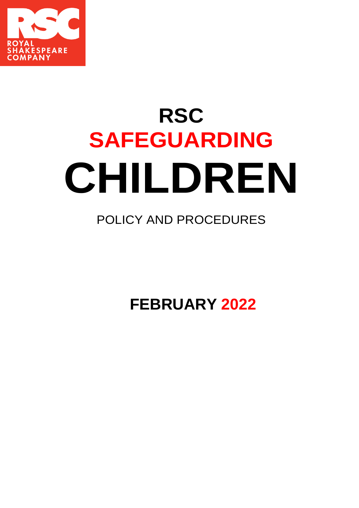

# **RSC SAFEGUARDING CHILDREN**

# POLICY AND PROCEDURES

**FEBRUARY 2022**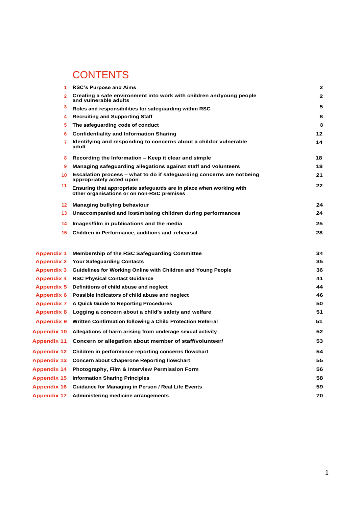# **CONTENTS**

| 1                  | <b>RSC's Purpose and Aims</b>                                                                                     | $\mathbf{2}$   |
|--------------------|-------------------------------------------------------------------------------------------------------------------|----------------|
| 2 <sup>1</sup>     | Creating a safe environment into work with children andyoung people<br>and vulnerable adults                      | $\overline{2}$ |
| 3                  | Roles and responsibilities for safeguarding within RSC                                                            | 5              |
| 4                  | <b>Recruiting and Supporting Staff</b>                                                                            | 8              |
| 5.                 | The safeguarding code of conduct                                                                                  | 8              |
| 6                  | <b>Confidentiality and Information Sharing</b>                                                                    | 12             |
| $7^{\circ}$        | Identifying and responding to concerns about a childor vulnerable<br>adult                                        | 14             |
| 8                  | Recording the Information – Keep it clear and simple                                                              | 18             |
| 9                  | Managing safeguarding allegations against staff and volunteers                                                    | 18             |
| 10 <sup>°</sup>    | Escalation process – what to do if safeguarding concerns are notbeing<br>appropriately acted upon                 | 21             |
| 11                 | Ensuring that appropriate safeguards are in place when working with<br>other organisations or on non-RSC premises | 22             |
| 12 <sup>1</sup>    | Managing bullying behaviour                                                                                       | 24             |
| 13                 | Unaccompanied and lost/missing children during performances                                                       | 24             |
| 14                 | Images/film in publications and the media                                                                         | 25             |
| 15                 | Children in Performance, auditions and rehearsal                                                                  | 28             |
| <b>Appendix 1</b>  | <b>Membership of the RSC Safeguarding Committee</b>                                                               | 34             |
| <b>Appendix 2</b>  | <b>Your Safeguarding Contacts</b>                                                                                 | 35             |
| <b>Appendix 3</b>  | Guidelines for Working Online with Children and Young People                                                      | 36             |
| <b>Appendix 4</b>  | <b>RSC Physical Contact Guidance</b>                                                                              | 41             |
| <b>Appendix 5</b>  | Definitions of child abuse and neglect                                                                            | 44             |
| <b>Appendix 6</b>  | Possible Indicators of child abuse and neglect                                                                    | 46             |
| <b>Appendix 7</b>  | A Quick Guide to Reporting Procedures                                                                             | 50             |
| <b>Appendix 8</b>  | Logging a concern about a child's safety and welfare                                                              | 51             |
| <b>Appendix 9</b>  | Written Confirmation following a Child Protection Referral                                                        | 51             |
| <b>Appendix 10</b> | Allegations of harm arising from underage sexual activity                                                         | 52             |
| <b>Appendix 11</b> | Concern or allegation about member of staff/volunteer/                                                            | 53             |
| <b>Appendix 12</b> | Children in performance reporting concerns flowchart                                                              | 54             |
| Appendix 13        | <b>Concern about Chaperone Reporting flowchart</b>                                                                | 55             |
| <b>Appendix 14</b> | Photography, Film & Interview Permission Form                                                                     | 56             |
| <b>Appendix 15</b> | <b>Information Sharing Principles</b>                                                                             | 58             |
| <b>Appendix 16</b> | Guidance for Managing in Person / Real Life Events                                                                | 59             |
| <b>Appendix 17</b> | Administering medicine arrangements                                                                               | 70             |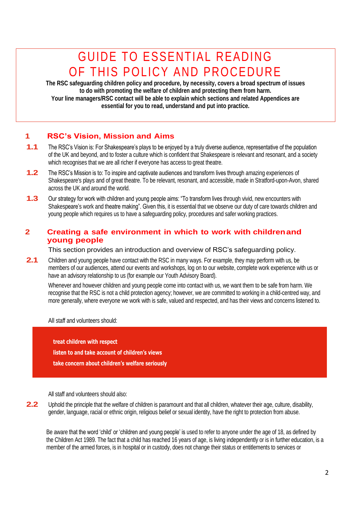# GUIDE TO ESSENTIAL READING OF THIS POLICY AND PROCEDURE

**The RSC safeguarding children policy and procedure, by necessity, covers a broad spectrum of issues to do with promoting the welfare of children and protecting them from harm. Your line managers/RSC contact will be able to explain which sections and related Appendices are essential for you to read, understand and put into practice.**

# **1 RSC's Vision, Mission and Aims**

- **1.1** The RSC's Vision is: For Shakespeare's plays to be enjoyed by a truly diverse audience, representative of the population of the UK and beyond, and to foster a culture which is confident that Shakespeare is relevant and resonant, and a society which recognises that we are all richer if everyone has access to great theatre.
- **1.2** The RSC's Mission is to: To inspire and captivate audiences and transform lives through amazing experiences of Shakespeare's plays and of great theatre. To be relevant, resonant, and accessible, made in Stratford-upon-Avon, shared across the UK and around the world.
- **1.3** Our strategy for work with children and young people aims: "To transform lives through vivid, new encounters with Shakespeare's work and theatre making". Given this, it is essential that we observe our duty of care towards children and young people which requires us to have a safeguarding policy, procedures and safer working practices.

# **2 Creating a safe environment in which to work with childrenand young people**

This section provides an introduction and overview of RSC's safeguarding policy.

**2.1** Children and young people have contact with the RSC in many ways. For example, they may perform with us, be members of our audiences, attend our events and workshops, log on to our website, complete work experience with us or have an advisory relationship to us (for example our Youth Advisory Board).

Whenever and however children and young people come into contact with us, we want them to be safe from harm. We recognise that the RSC is not a child protection agency; however, we are committed to working in a child-centred way, and more generally, where everyone we work with is safe, valued and respected, and has their views and concerns listened to.

All staff and volunteers should:

**treat children with respect listen to and take account of children's views take concern about children's welfare seriously**

All staff and volunteers should also:

**2.2** Uphold the principle that the welfare of children is paramount and that all children, whatever their age, culture, disability, gender, language, racial or ethnic origin, religious belief or sexual identity, have the right to protection from abuse.

Be aware that the word 'child' or 'children and young people' is used to refer to anyone under the age of 18, as defined by the Children Act 1989. The fact that a child has reached 16 years of age, is living independently or is in further education, is a member of the armed forces, is in hospital or in custody, does not change their status or entitlements to services or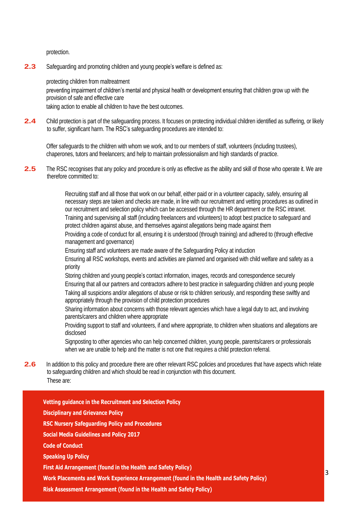protection.

**2.3** Safeguarding and promoting children and young people's welfare is defined as:

protecting children from maltreatment

preventing impairment of children's mental and physical health or development ensuring that children grow up with the provision of safe and effective care

taking action to enable all children to have the best outcomes.

**2.4** Child protection is part of the safeguarding process. It focuses on protecting individual children identified as suffering, or likely to suffer, significant harm. The RSC's safeguarding procedures are intended to:

Offer safeguards to the children with whom we work, and to our members of staff, volunteers (including trustees), chaperones, tutors and freelancers; and help to maintain professionalism and high standards of practice.

**2.5** The RSC recognises that any policy and procedure is only as effective as the ability and skill of those who operate it. We are therefore committed to:

> Recruiting staff and all those that work on our behalf, either paid or in a volunteer capacity, safely, ensuring all necessary steps are taken and checks are made, in line with our recruitment and vetting procedures as outlined in our recruitment and selection policy which can be accessed through the HR department or the RSC intranet. Training and supervising all staff (including freelancers and volunteers) to adopt best practice to safeguard and protect children against abuse, and themselves against allegations being made against them

Providing a code of conduct for all, ensuring it is understood (through training) and adhered to (through effective management and governance)

Ensuring staff and volunteers are made aware of the Safeguarding Policy at induction

Ensuring all RSC workshops, events and activities are planned and organised with child welfare and safety as a priority

Storing children and young people's contact information, images, records and correspondence securely Ensuring that all our partners and contractors adhere to best practice in safeguarding children and young people Taking all suspicions and/or allegations of abuse or risk to children seriously, and responding these swiftly and appropriately through the provision of child protection procedures

Sharing information about concerns with those relevant agencies which have a legal duty to act, and involving parents/carers and children where appropriate

Providing support to staff and volunteers, if and where appropriate, to children when situations and allegations are disclosed

Signposting to other agencies who can help concerned children, young people, parents/carers or professionals when we are unable to help and the matter is not one that requires a child protection referral.

**2.6** In addition to this policy and procedure there are other relevant RSC policies and procedures that have aspects which relate to safeguarding children and which should be read in conjunction with this document. These are:



**Risk Assessment Arrangement (found in the Health and Safety Policy)**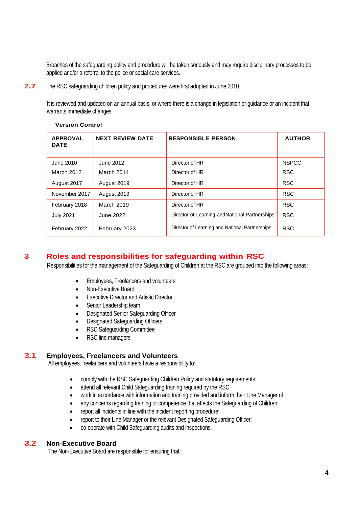Breaches of the safeguarding policy and procedure will be taken seriously and may require disciplinary processes to be applied and/or a referral to the police or social care services.

**2.7** The RSC safeguarding children policy and procedures were first adopted in June 2010.

It is reviewed and updated on an annual basis, or where there is a change in legislation or guidance or an incident that warrants immediate changes.

| <b>APPROVAL</b><br><b>DATE</b> | <b>NEXT REVIEW DATE</b> | <b>RESPONSIBLE PERSON</b>                      | <b>AUTHOR</b> |
|--------------------------------|-------------------------|------------------------------------------------|---------------|
| June 2010                      | June 2012               | Director of HR                                 | <b>NSPCC</b>  |
| March 2012                     | March 2014              | Director of HR                                 | <b>RSC</b>    |
| August 2017                    | August 2019             | Director of HR                                 | <b>RSC</b>    |
| November 2017                  | August 2019             | Director of HR                                 | <b>RSC</b>    |
| February 2018                  | <b>March 2019</b>       | Director of HR                                 | <b>RSC</b>    |
| <b>July 2021</b>               | June 2022               | Director of Learning and National Partnerships | <b>RSC</b>    |
| February 2022                  | February 2023           | Director of Learning and National Partnerships | <b>RSC</b>    |

# **3 Roles and responsibilities for safeguarding within RSC**

Responsibilities for the management of the Safeguarding of Children at the RSC are grouped into the following areas:

- Employees, Freelancers and volunteers
- Non-Executive Board
- **Executive Director and Artistic Director**
- Senior Leadership team
- Designated Senior Safeguarding Officer
- Designated Safeguarding Officers
- RSC Safeguarding Committee
- RSC line managers

#### **3.1 Employees, Freelancers and Volunteers**

All employees, freelancers and volunteers have a responsibility to:

- comply with the RSC Safeguarding Children Policy and statutory requirements;
- attend all relevant Child Safeguarding training required by the RSC;
- work in accordance with information and training provided and inform their Line Manager of
- any concerns regarding training or competence that affects the Safeguarding of Children;
- report all incidents in line with the incident reporting procedure;
- report to their Line Manager or the relevant Designated Safeguarding Officer;
- co-operate with Child Safeguarding audits and inspections.

#### **3.2 Non-Executive Board**

The Non-Executive Board are responsible for ensuring that: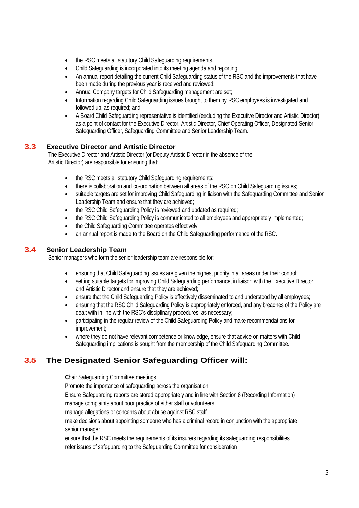- the RSC meets all statutory Child Safeguarding requirements.
- Child Safeguarding is incorporated into its meeting agenda and reporting;
- An annual report detailing the current Child Safeguarding status of the RSC and the improvements that have been made during the previous year is received and reviewed;
- Annual Company targets for Child Safeguarding management are set;
- Information regarding Child Safeguarding issues brought to them by RSC employees is investigated and followed up, as required; and
- A Board Child Safeguarding representative is identified (excluding the Executive Director and Artistic Director) as a point of contact for the Executive Director, Artistic Director, Chief Operating Officer, Designated Senior Safeguarding Officer, Safeguarding Committee and Senior Leadership Team.

# **3.3 Executive Director and Artistic Director**

The Executive Director and Artistic Director (or Deputy Artistic Director in the absence of the Artistic Director) are responsible for ensuring that:

- the RSC meets all statutory Child Safeguarding requirements;
- there is collaboration and co-ordination between all areas of the RSC on Child Safeguarding issues;
- suitable targets are set for improving Child Safeguarding in liaison with the Safeguarding Committee and Senior Leadership Team and ensure that they are achieved;
- the RSC Child Safeguarding Policy is reviewed and updated as required;
- the RSC Child Safeguarding Policy is communicated to all employees and appropriately implemented;
- the Child Safeguarding Committee operates effectively;
- an annual report is made to the Board on the Child Safeguarding performance of the RSC.

#### **3.4 Senior Leadership Team**

Senior managers who form the senior leadership team are responsible for:

- ensuring that Child Safeguarding issues are given the highest priority in all areas under their control;
- setting suitable targets for improving Child Safeguarding performance, in liaison with the Executive Director and Artistic Director and ensure that they are achieved;
- ensure that the Child Safeguarding Policy is effectively disseminated to and understood by all employees;
- ensuring that the RSC Child Safeguarding Policy is appropriately enforced, and any breaches of the Policy are dealt with in line with the RSC's disciplinary procedures, as necessary;
- participating in the regular review of the Child Safeguarding Policy and make recommendations for improvement;
- where they do not have relevant competence or knowledge, ensure that advice on matters with Child Safeguarding implications is sought from the membership of the Child Safeguarding Committee.

# **3.5 The Designated Senior Safeguarding Officer will:**

**C**hair Safeguarding Committee meetings

**P**romote the importance of safeguarding across the organisation

**E**nsure Safeguarding reports are stored appropriately and in line with Section 8 (Recording Information)

**m**anage complaints about poor practice of either staff or volunteers

**m**anage allegations or concerns about abuse against RSC staff

**m**ake decisions about appointing someone who has a criminal record in conjunction with the appropriate senior manager

**e**nsure that the RSC meets the requirements of its insurers regarding its safeguarding responsibilities **r**efer issues of safeguarding to the Safeguarding Committee for consideration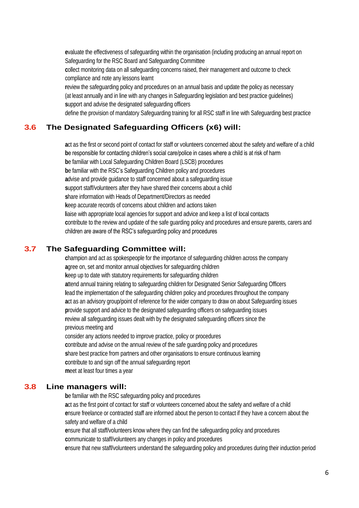**e**valuate the effectiveness of safeguarding within the organisation (including producing an annual report on Safeguarding for the RSC Board and Safeguarding Committee

**c**ollect monitoring data on all safeguarding concerns raised, their management and outcome to check compliance and note any lessons learnt

**r**eview the safeguarding policy and procedures on an annual basis and update the policy as necessary (at least annually and in line with any changes in Safeguarding legislation and best practice guidelines) **s**upport and advise the designated safeguarding officers

define the provision of mandatory Safeguarding training for all RSC staff in line with Safeguarding best practice

# **3.6 The Designated Safeguarding Officers (x6) will:**

**a**ct as the first or second point of contact for staff or volunteers concerned about the safety and welfare of a child **b**e responsible for contacting children's social care/police in cases where a child is at risk of harm **b**e familiar with Local Safeguarding Children Board (LSCB) procedures **b**e familiar with the RSC's Safeguarding Children policy and procedures **advise and provide guidance to staff concerned about a safeguarding issue s**upport staff/volunteers after they have shared their concerns about a child **s**hare information with Heads of Department/Directors as needed **k**eep accurate records of concerns about children and actions taken **l**iaise with appropriate local agencies for support and advice and keep a list of local contacts **c**ontribute to the review and update of the safe guarding policy and procedures and ensure parents, carers and children are aware of the RSC's safeguarding policy and procedures

# **3.7 The Safeguarding Committee will:**

**c**hampion and act as spokespeople for the importance of safeguarding children across the company **a**gree on, set and monitor annual objectives for safeguarding children **k**eep up to date with statutory requirements for safeguarding children **a**ttend annual training relating to safeguarding children for Designated Senior Safeguarding Officers **l**ead the implementation of the safeguarding children policy and procedures throughout the company **a**ct as an advisory group/point of reference for the wider company to draw on about Safeguarding issues **p**rovide support and advice to the designated safeguarding officers on safeguarding issues **r**eview all safeguarding issues dealt with by the designated safeguarding officers since the previous meeting and

consider any actions needed to improve practice, policy or procedures **c**ontribute and advise on the annual review of the safe guarding policy and procedures **s**hare best practice from partners and other organisations to ensure continuous learning **c**ontribute to and sign off the annual safeguarding report **m**eet at least four times a year

#### **3.8 Line managers will:**

**b**e familiar with the RSC safeguarding policy and procedures **a**ct as the first point of contact for staff or volunteers concerned about the safety and welfare of a child **e**nsure freelance or contracted staff are informed about the person to contact if they have a concern about the safety and welfare of a child

**e**nsure that all staff/volunteers know where they can find the safeguarding policy and procedures **c**ommunicate to staff/volunteers any changes in policy and procedures

**e**nsure that new staff/volunteers understand the safeguarding policy and procedures during their induction period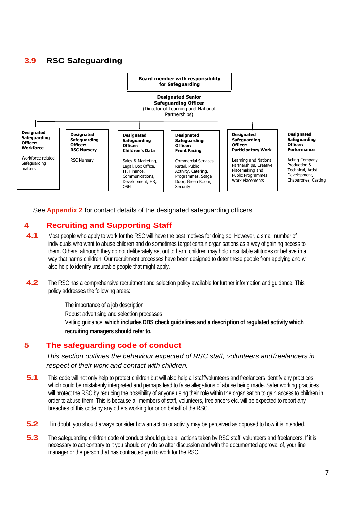# **3.9 RSC Safeguarding**



See **Appendix 2** for contact details of the designated safeguarding officers

# **4 Recruiting and Supporting Staff**

- **4.1** Most people who apply to work for the RSC will have the best motives for doing so. However, a small number of individuals who want to abuse children and do sometimes target certain organisations as a way of gaining access to them. Others, although they do not deliberately set out to harm children may hold unsuitable attitudes or behave in a way that harms children. Our recruitment processes have been designed to deter these people from applying and will also help to identify unsuitable people that might apply.
- **4.2** The RSC has a comprehensive recruitment and selection policy available for further information and guidance. This policy addresses the following areas:

The importance of a job description Robust advertising and selection processes Vetting guidance, **which includes DBS check guidelines and a description of regulated activity which recruiting managers should refer to.**

# **5 The safeguarding code of conduct**

*This section outlines the behaviour expected of RSC staff, volunteers andfreelancers in respect of their work and contact with children.*

- **5.1** This code will not only help to protect children but will also help all staff/volunteers and freelancers identify any practices which could be mistakenly interpreted and perhaps lead to false allegations of abuse being made. Safer working practices will protect the RSC by reducing the possibility of anyone using their role within the organisation to gain access to children in order to abuse them. This is because all members of staff, volunteers, freelancers etc. will be expected to report any breaches of this code by any others working for or on behalf of the RSC.
- **5.2** If in doubt, you should always consider how an action or activity may be perceived as opposed to how it is intended.
- **5.3** The safeguarding children code of conduct should guide all actions taken by RSC staff, volunteers and freelancers. If it is necessary to act contrary to it you should only do so after discussion and with the documented approval of, your line manager or the person that has contracted you to work for the RSC.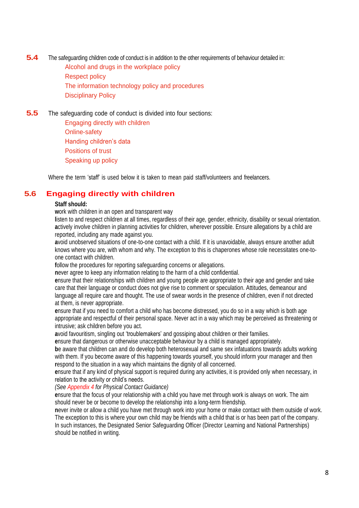**5.4** The safeguarding children code of conduct is in addition to the other requirements of behaviour detailed in: Alcohol and drugs in the workplace policy Respect policy The information technology policy and procedures

Disciplinary Policy

**5.5** The safeguarding code of conduct is divided into four sections:

Engaging directly with children Online-safety Handing children's data Positions of trust Speaking up policy

Where the term 'staff' is used below it is taken to mean paid staff/volunteers and freelancers.

# **5.6 Engaging directly with children**

#### **Staff should:**

**w**ork with children in an open and transparent way

**l**isten to and respect children at all times, regardless of their age, gender, ethnicity, disability or sexual orientation. **a**ctively involve children in planning activities for children, wherever possible. Ensure allegations by a child are reported, including any made against you.

**a**void unobserved situations of one-to-one contact with a child. If it is unavoidable, always ensure another adult knows where you are, with whom and why. The exception to this is chaperones whose role necessitates one-toone contact with children.

**f**ollow the procedures for reporting safeguarding concerns or allegations.

**n**ever agree to keep any information relating to the harm of a child confidential.

**e**nsure that their relationships with children and young people are appropriate to their age and gender and take care that their language or conduct does not give rise to comment or speculation. Attitudes, demeanour and language all require care and thought. The use of swear words in the presence of children, even if not directed at them, is never appropriate.

**e**nsure that if you need to comfort a child who has become distressed, you do so in a way which is both age appropriate and respectful of their personal space. Never act in a way which may be perceived as threatening or intrusive; ask children before you act.

**a**void favouritism, singling out 'troublemakers' and gossiping about children or their families.

**e**nsure that dangerous or otherwise unacceptable behaviour by a child is managed appropriately.

**b**e aware that children can and do develop both heterosexual and same sex infatuations towards adults working with them. If you become aware of this happening towards yourself, you should inform your manager and then **r**espond to the situation in a way which maintains the dignity of all concerned.

**e**nsure that if any kind of physical support is required during any activities, it is provided only when necessary, in relation to the activity or child's needs.

*(See Appendix 4 for Physical Contact Guidance)*

**e**nsure that the focus of your relationship with a child you have met through work is always on work. The aim should never be or become to develop the relationship into a long-term friendship.

**n**ever invite or allow a child you have met through work into your home or make contact with them outside of work. The exception to this is where your own child may be friends with a child that is or has been part of the company. In such instances, the Designated Senior Safeguarding Officer (Director Learning and National Partnerships) should be notified in writing.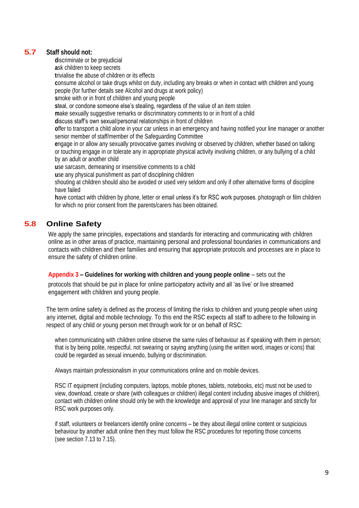### **5.7 Staff should not:**

**d**iscriminate or be prejudicial

**a**sk children to keep secrets

**t**rivialise the abuse of children or its effects

**c**onsume alcohol or take drugs whilst on duty, including any breaks or when in contact with children and young people (for further details see Alcohol and drugs at work policy)

**s**moke with or in front of children and young people

**s**teal, or condone someone else's stealing, regardless of the value of an item stolen

**m**ake sexually suggestive remarks or discriminatory comments to or in front of a child

**d**iscuss staff's own sexual/personal relationships in front of children

**o**ffer to transport a child alone in your car unless in an emergency and having notified your line manager or another senior member of staff/member of the Safeguarding Committee

**e**ngage in or allow any sexually provocative games involving or observed by children, whether based on talking or touching engage in or tolerate any in appropriate physical activity involving children, or any bullying of a child by an adult or another child

**u**se sarcasm, demeaning or insensitive comments to a child

**u**se any physical punishment as part of disciplining children

shouting at children should also be avoided or used very seldom and only if other alternative forms of discipline have failed

**h**ave contact with children by phone, letter or email unless it's for RSC work purposes. photograph or film children for which no prior consent from the parents/carers has been obtained.

# **5.8 Online Safety**

We apply the same principles, expectations and standards for interacting and communicating with children online as in other areas of practice, maintaining personal and professional boundaries in communications and contacts with children and their families and ensuring that appropriate protocols and processes are in place to ensure the safety of children online.

#### **Appendix 3 – Guidelines for working with children and young people online** – sets out the

protocols that should be put in place for online participatory activity and all 'as live' or live streamed engagement with children and young people.

The term online safety is defined as the process of limiting the risks to children and young people when using any internet, digital and mobile technology. To this end the RSC expects all staff to adhere to the following in respect of any child or young person met through work for or on behalf of RSC:

when communicating with children online observe the same rules of behaviour as if speaking with them in person; that is by being polite, respectful, not swearing or saying anything (using the written word, images or icons) that could be regarded as sexual innuendo, bullying or discrimination.

Always maintain professionalism in your communications online and on mobile devices.

RSC IT equipment (including computers, laptops, mobile phones, tablets, notebooks, etc) must not be used to view, download, create or share (with colleagues or children) illegal content including abusive images of children). contact with children online should only be with the knowledge and approval of your line manager and strictly for RSC work purposes only.

if staff, volunteers or freelancers identify online concerns – be they about illegal online content or suspicious behaviour by another adult online then they must follow the RSC procedures for reporting those concerns (see section 7.13 to 7.15).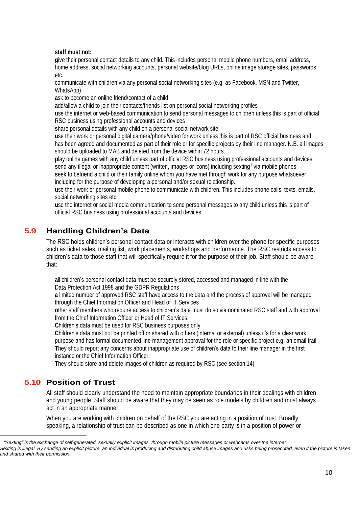#### **staff must not:**

**g**ive their personal contact details to any child. This includes personal mobile phone numbers, email address, home address, social networking accounts, personal website/blog URLs, online image storage sites, passwords etc.

communicate with children via any personal social networking sites (e.g. as Facebook, MSN and Twitter, WhatsApp)

**a**sk to become an online friend/contact of a child

**a**dd/allow a child to join their contacts/friends list on personal social networking profiles

**u**se the internet or web-based communication to send personal messages to children unless this is part of official RSC business using professional accounts and devices

**s**hare personal details with any child on a personal social network site

**u**se their work or personal digital camera/phone/video for work unless this is part of RSC official business and has been agreed and documented as part of their role or for specific projects by their line manager. N.B. all images should be uploaded to MAB and deleted from the device within 72 hours.

**p**lay online games with any child unless part of official RSC business using professional accounts and devices. send any illegal or inappropriate content (written, images or icons) including sexting<sup>1</sup> via mobile phones

**s**eek to befriend a child or their family online whom you have met through work for any purpose whatsoever including for the purpose of developing a personal and/or sexual relationship.

**u**se their work or personal mobile phone to communicate with children. This includes phone calls, texts, emails, social networking sites etc.

**u**se the internet or social media communication to send personal messages to any child unless this is part of official RSC business using professional accounts and devices

# **5.9 Handling Children's Data**

The RSC holds children's personal contact data or interacts with children over the phone for specific purposes such as ticket sales, mailing list, work placements, workshops and performance. The RSC restricts access to children's data to those staff that will specifically require it for the purpose of their job. Staff should be aware that:

**a**ll children's personal contact data must be securely stored, accessed and managed in line with the Data Protection Act 1998 and the GDPR Regulations

**a** limited number of approved RSC staff have access to the data and the process of approval will be managed through the Chief Information Officer and Head of IT Services

**o**ther staff members who require access to children's data must do so via nominated RSC staff and with approval from the Chief Information Officer or Head of IT Services.

**C**hildren's data must be used for RSC business purposes only

**C**hildren's data must not be printed off or shared with others (internal or external) unless it's for a clear work purpose and has formal documented line management approval for the role or specific project e.g. an email trail **T**hey should report any concerns about inappropriate use of children's data to their line manager in the first instance or the Chief Information Officer.

**T**hey should store and delete images of children as required by RSC (see section 14)

# **5.10 Position of Trust**

All staff should clearly understand the need to maintain appropriate boundaries in their dealings with children and young people. Staff should be aware that they may be seen as role models by children and must always act in an appropriate manner.

When you are working with children on behalf of the RSC you are acting in a position of trust. Broadly speaking, a relationship of trust can be described as one in which one party is in a position of power or

<sup>1</sup> *"Sexting" is the exchange of self-generated, sexually explicit images, through mobile picture messages or webcams over the internet.* 

*Sexting is illegal. By sending an explicit picture, an individual is producing and distributing child abuse images and risks being prosecuted, even if the picture is taken and shared with their permission.*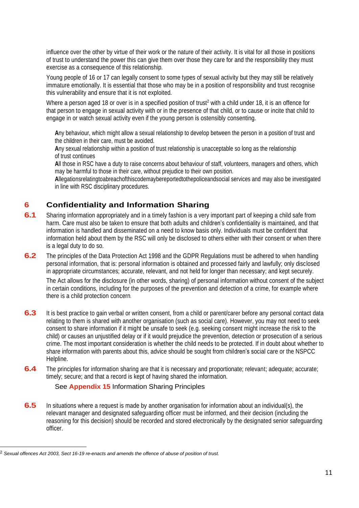influence over the other by virtue of their work or the nature of their activity. It is vital for all those in positions of trust to understand the power this can give them over those they care for and the responsibility they must exercise as a consequence of this relationship.

Young people of 16 or 17 can legally consent to some types of sexual activity but they may still be relatively immature emotionally. It is essential that those who may be in a position of responsibility and trust recognise this vulnerability and ensure that it is not exploited.

Where a person aged 18 or over is in a specified position of trust<sup>2</sup> with a child under 18, it is an offence for that person to engage in sexual activity with or in the presence of that child, or to cause or incite that child to engage in or watch sexual activity even if the young person is ostensibly consenting.

**A**ny behaviour, which might allow a sexual relationship to develop between the person in a position of trust and the children in their care, must be avoided.

**A**ny sexual relationship within a position of trust relationship is unacceptable so long as the relationship of trust continues

**A**ll those in RSC have a duty to raise concerns about behaviour of staff, volunteers, managers and others, which may be harmful to those in their care, without prejudice to their own position.

**A**llegationsrelatingtoabreachofthiscodemaybereportedtothepoliceandsocial services and may also be investigated in line with RSC disciplinary procedures.

# **6 Confidentiality and Information Sharing**

- **6.1** Sharing information appropriately and in a timely fashion is a very important part of keeping a child safe from harm. Care must also be taken to ensure that both adults and children's confidentiality is maintained, and that information is handled and disseminated on a need to know basis only. Individuals must be confident that information held about them by the RSC will only be disclosed to others either with their consent or when there is a legal duty to do so.
- **6.2** The principles of the Data Protection Act 1998 and the GDPR Regulations must be adhered to when handling personal information, that is: personal information is obtained and processed fairly and lawfully; only disclosed in appropriate circumstances; accurate, relevant, and not held for longer than necessary; and kept securely.

The Act allows for the disclosure (in other words, sharing) of personal information without consent of the subject in certain conditions, including for the purposes of the prevention and detection of a crime, for example where there is a child protection concern.

- **6.3** It is best practice to gain verbal or written consent, from a child or parent/carer before any personal contact data relating to them is shared with another organisation (such as social care). However, you may not need to seek consent to share information if it might be unsafe to seek (e.g. seeking consent might increase the risk to the child) or causes an unjustified delay or if it would prejudice the prevention, detection or prosecution of a serious crime. The most important consideration is whether the child needs to be protected. If in doubt about whether to share information with parents about this, advice should be sought from children's social care or the NSPCC Helpline.
- **6.4** The principles for information sharing are that it is necessary and proportionate; relevant; adequate; accurate; timely; secure; and that a record is kept of having shared the information.

#### See **Appendix 15** Information Sharing Principles

**6.5** In situations where a request is made by another organisation for information about an individual(s), the relevant manager and designated safeguarding officer must be informed, and their decision (including the reasoning for this decision) should be recorded and stored electronically by the designated senior safeguarding officer.

<sup>2</sup> *Sexual offences Act 2003, Sect 16-19 re-enacts and amends the offence of abuse of position of trust.*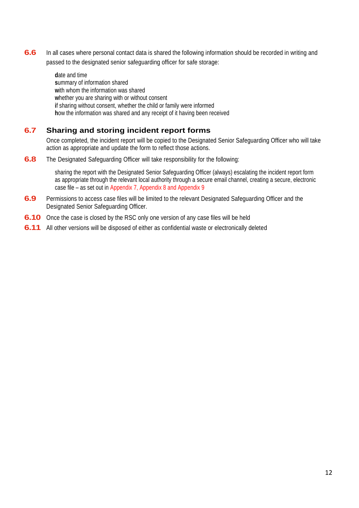**6.6** In all cases where personal contact data is shared the following information should be recorded in writing and passed to the designated senior safeguarding officer for safe storage:

> **d**ate and time **s**ummary of information shared with whom the information was shared **w**hether you are sharing with or without consent **if sharing without consent, whether the child or family were informed h**ow the information was shared and any receipt of it having been received

# **6.7 Sharing and storing incident report forms**

Once completed, the incident report will be copied to the Designated Senior Safeguarding Officer who will take action as appropriate and update the form to reflect those actions.

**6.8** The Designated Safeguarding Officer will take responsibility for the following:

sharing the report with the Designated Senior Safeguarding Officer (always) escalating the incident report form as appropriate through the relevant local authority through a secure email channel, creating a secure, electronic case file – as set out in Appendix 7, Appendix 8 and Appendix 9

- **6.9** Permissions to access case files will be limited to the relevant Designated Safeguarding Officer and the Designated Senior Safeguarding Officer.
- **6.10** Once the case is closed by the RSC only one version of any case files will be held
- **6.11** All other versions will be disposed of either as confidential waste or electronically deleted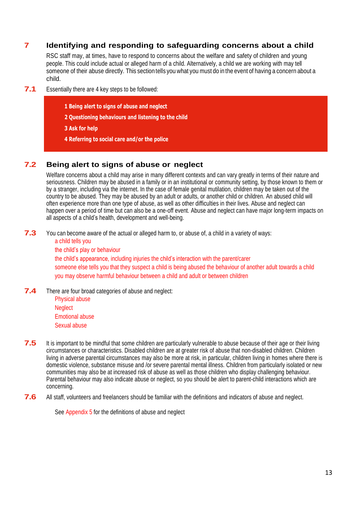# **7 Identifying and responding to safeguarding concerns about a child**

RSC staff may, at times, have to respond to concerns about the welfare and safety of children and young people. This could include actual or alleged harm of a child. Alternatively, a child we are working with may tell someone of their abuse directly. This section tells you what you must do in the event of having a concern about a child.

- **7.1** Essentially there are <sup>4</sup> key steps to be followed:
	- **1 Being alert to signs of abuse and neglect**
	- **2 Questioning behaviours and listening to the child**
	- **3 Ask for help**
	- **4 Referring to social care and/or the police**

# **7.2 Being alert to signs of abuse or neglect**

Welfare concerns about a child may arise in many different contexts and can vary greatly in terms of their nature and seriousness. Children may be abused in a family or in an institutional or community setting, by those known to them or by a stranger, including via the internet. In the case of female genital mutilation, children may be taken out of the country to be abused. They may be abused by an adult or adults, or another child or children. An abused child will often experience more than one type of abuse, as well as other difficulties in their lives. Abuse and neglect can happen over a period of time but can also be a one-off event. Abuse and neglect can have major long-term impacts on all aspects of a child's health, development and well-being.

**7.3** You can become aware of the actual or alleged harm to, or abuse of, a child in a variety of ways:

a child tells you the child's play or behaviour the child's appearance, including injuries the child's interaction with the parent/carer someone else tells you that they suspect a child is being abused the behaviour of another adult towards a child you may observe harmful behaviour between a child and adult or between children

**7.4** There are four broad categories of abuse and neglect:

Physical abuse **Neglect** Emotional abuse

- Sexual abuse
- **7.5** It is important to be mindful that some children are particularly vulnerable to abuse because of their age or their living circumstances or characteristics. Disabled children are at greater risk of abuse that non-disabled children. Children living in adverse parental circumstances may also be more at risk, in particular, children living in homes where there is domestic violence, substance misuse and /or severe parental mental illness. Children from particularly isolated or new communities may also be at increased risk of abuse as well as those children who display challenging behaviour. Parental behaviour may also indicate abuse or neglect, so you should be alert to parent-child interactions which are concerning.
- **7.6** All staff, volunteers and freelancers should be familiar with the definitions and indicators of abuse and neglect.

See Appendix 5 for the definitions of abuse and neglect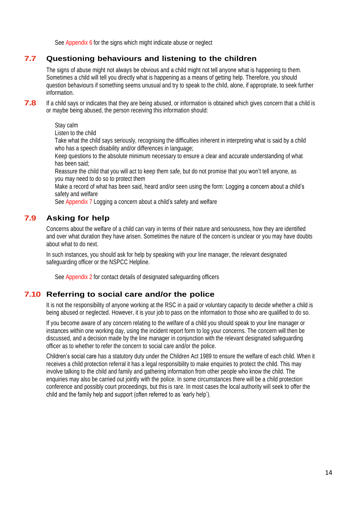See Appendix 6 for the signs which might indicate abuse or neglect

# **7.7 Questioning behaviours and listening to the children**

The signs of abuse might not always be obvious and a child might not tell anyone what is happening to them. Sometimes a child will tell you directly what is happening as a means of getting help. Therefore, you should question behaviours if something seems unusual and try to speak to the child, alone, if appropriate, to seek further information.

**7.8** If a child says or indicates that they are being abused, or information is obtained which gives concern that a child is or maybe being abused, the person receiving this information should:

Stay calm

Listen to the child

Take what the child says seriously, recognising the difficulties inherent in interpreting what is said by a child who has a speech disability and/or differences in language;

Keep questions to the absolute minimum necessary to ensure a clear and accurate understanding of what has been said;

Reassure the child that you will act to keep them safe, but do not promise that you won't tell anyone, as you may need to do so to protect them

Make a record of what has been said, heard and/or seen using the form: Logging a concern about a child's safety and welfare

See Appendix 7 Logging a concern about a child's safety and welfare

# **7.9 Asking for help**

Concerns about the welfare of a child can vary in terms of their nature and seriousness, how they are identified and over what duration they have arisen. Sometimes the nature of the concern is unclear or you may have doubts about what to do next.

In such instances, you should ask for help by speaking with your line manager, the relevant designated safeguarding officer or the NSPCC Helpline.

See Appendix 2 for contact details of designated safeguarding officers

#### **7.10 Referring to social care and/or the police**

It is not the responsibility of anyone working at the RSC in a paid or voluntary capacity to decide whether a child is being abused or neglected. However, it is your job to pass on the information to those who are qualified to do so.

If you become aware of any concern relating to the welfare of a child you should speak to your line manager or instances within one working day, using the incident report form to log your concerns. The concern will then be discussed, and a decision made by the line manager in conjunction with the relevant designated safeguarding officer as to whether to refer the concern to social care and/or the police.

Children's social care has a statutory duty under the Children Act 1989 to ensure the welfare of each child. When it receives a child protection referral it has a legal responsibility to make enquiries to protect the child. This may involve talking to the child and family and gathering information from other people who know the child. The enquiries may also be carried out jointly with the police. In some circumstances there will be a child protection conference and possibly court proceedings, but this is rare. In most cases the local authority will seek to offer the child and the family help and support (often referred to as 'early help').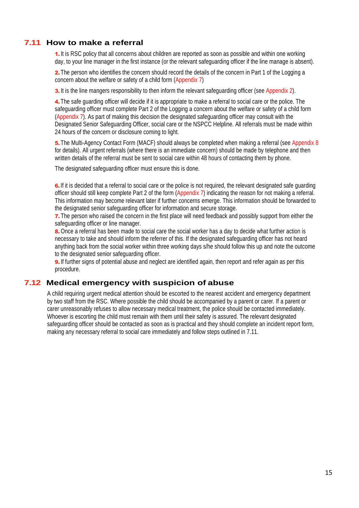# **7.11 How to make a referral**

1. It is RSC policy that all concerns about children are reported as soon as possible and within one working day, to your line manager in the first instance (or the relevant safeguarding officer if the line manage is absent).

2. The person who identifies the concern should record the details of the concern in Part 1 of the Logging a concern about the welfare or safety of a child form (Appendix 7)

3. It is the line mangers responsibility to then inform the relevant safeguarding officer (see Appendix 2).

4. The safe guarding officer will decide if it is appropriate to make a referral to social care or the police. The safeguarding officer must complete Part 2 of the Logging a concern about the welfare or safety of a child form (Appendix 7). As part of making this decision the designated safeguarding officer may consult with the Designated Senior Safeguarding Officer, social care or the NSPCC Helpline. All referrals must be made within 24 hours of the concern or disclosure coming to light.

5. The Multi-Agency Contact Form (MACF) should always be completed when making a referral (see Appendix 8 for details). All urgent referrals (where there is an immediate concern) should be made by telephone and then written details of the referral must be sent to social care within 48 hours of contacting them by phone.

The designated safeguarding officer must ensure this is done.

6. If it is decided that a referral to social care or the police is not required, the relevant designated safe quarding officer should still keep complete Part 2 of the form (Appendix 7) indicating the reason for not making a referral. This information may become relevant later if further concerns emerge. This information should be forwarded to the designated senior safeguarding officer for information and secure storage.

7. The person who raised the concern in the first place will need feedback and possibly support from either the safeguarding officer or line manager.

8. Once a referral has been made to social care the social worker has a day to decide what further action is necessary to take and should inform the referrer of this. If the designated safeguarding officer has not heard anything back from the social worker within three working days s/he should follow this up and note the outcome to the designated senior safeguarding officer.

**9.** If further signs of potential abuse and neglect are identified again, then report and refer again as per this procedure.

# **7.12 Medical emergency with suspicion of abuse**

A child requiring urgent medical attention should be escorted to the nearest accident and emergency department by two staff from the RSC. Where possible the child should be accompanied by a parent or carer. If a parent or carer unreasonably refuses to allow necessary medical treatment, the police should be contacted immediately. Whoever is escorting the child must remain with them until their safety is assured. The relevant designated safeguarding officer should be contacted as soon as is practical and they should complete an incident report form, making any necessary referral to social care immediately and follow steps outlined in 7.11.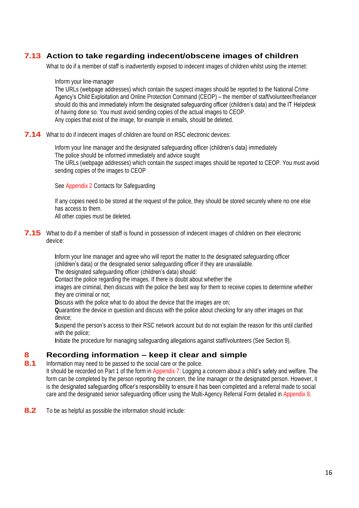# **7.13 Action to take regarding indecent/obscene images of children**

What to do if a member of staff is inadvertently exposed to indecent images of children whilst using the internet:

#### Inform your line-manager

The URLs (webpage addresses) which contain the suspect images should be reported to the National Crime Agency's Child Exploitation and Online Protection Command (CEOP) – the member of staff/volunteer/freelancer should do this and immediately inform the designated safeguarding officer (children's data) and the IT Helpdesk of having done so. You must avoid sending copies of the actual images to CEOP. Any copies that exist of the image, for example in emails, should be deleted.

**7.14** What to do if indecent images of children are found on RSC electronic devices:

Inform your line manager and the designated safeguarding officer (children's data) immediately The police should be informed immediately and advice sought The URLs (webpage addresses) which contain the suspect images should be reported to CEOP. You must avoid sending copies of the images to CEOP

#### See Appendix 2 Contacts for Safeguarding

If any copies need to be stored at the request of the police, they should be stored securely where no one else has access to them.

All other copies must be deleted.

**7.15** What to do if a member of staff is found in possession of indecent images of children on their electronic device:

> **I**nform your line manager and agree who will report the matter to the designated safeguarding officer (children's data) or the designated senior safeguarding officer if they are unavailable.

**T**he designated safeguarding officer (children's data) should:

**C**ontact the police regarding the images. If there is doubt about whether the

images are criminal, then discuss with the police the best way for them to receive copies to determine whether they are criminal or not;

**D**iscuss with the police what to do about the device that the images are on;

**Q**uarantine the device in question and discuss with the police about checking for any other images on that device;

**S**uspend the person's access to their RSC network account but do not explain the reason for this until clarified with the police;

**I**nitiate the procedure for managing safeguarding allegations against staff/volunteers (See Section 9).

# **8 Recording information – keep it clear and simple**

**8.1** Information may need to be passed to the social care or the police.

It should be recorded on Part 1 of the form in Appendix 7: Logging a concern about a child's safety and welfare. The form can be completed by the person reporting the concern, the line manager or the designated person. However, it is the designated safeguarding officer's responsibility to ensure it has been completed and a referral made to social care and the designated senior safeguarding officer using the Multi-Agency Referral Form detailed in Appendix 8.

**8.2** To be as helpful as possible the information should include: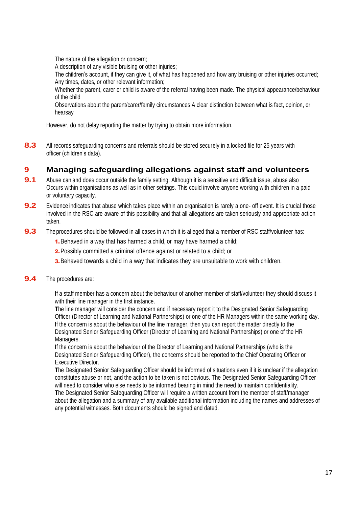The nature of the allegation or concern;

A description of any visible bruising or other injuries;

The children's account, if they can give it, of what has happened and how any bruising or other injuries occurred; Any times, dates, or other relevant information;

Whether the parent, carer or child is aware of the referral having been made. The physical appearance/behaviour of the child

Observations about the parent/carer/family circumstances A clear distinction between what is fact, opinion, or hearsay

However, do not delay reporting the matter by trying to obtain more information.

8.3 All records safeguarding concerns and referrals should be stored securely in a locked file for 25 years with officer (children's data).

# **9 Managing safeguarding allegations against staff and volunteers**

- **9.1** Abuse can and does occur outside the family setting. Although it is a sensitive and difficult issue, abuse also Occurs within organisations as well as in other settings. This could involve anyone working with children in a paid or voluntary capacity.
- **9.2** Evidence indicates that abuse which takes place within an organisation is rarely a one- off event. It is crucial those involved in the RSC are aware of this possibility and that all allegations are taken seriously and appropriate action taken.
- **9.3** The procedures should be followed in all cases in which it is alleged that a member of RSC staff/volunteer has:
	- **1.** Behaved in a way that has harmed a child, or may have harmed a child;
	- 2. Possibly committed a criminal offence against or related to a child; or
	- **3.** Behaved towards a child in a way that indicates they are unsuitable to work with children.
- **9.4** The procedures are:

**I**f a staff member has a concern about the behaviour of another member of staff/volunteer they should discuss it with their line manager in the first instance.

**T**he line manager will consider the concern and if necessary report it to the Designated Senior Safeguarding Officer (Director of Learning and National Partnerships) or one of the HR Managers within the same working day. **I**f the concern is about the behaviour of the line manager, then you can report the matter directly to the Designated Senior Safeguarding Officer (Director of Learning and National Partnerships) or one of the HR Managers.

**I**f the concern is about the behaviour of the Director of Learning and National Partnerships (who is the Designated Senior Safeguarding Officer), the concerns should be reported to the Chief Operating Officer or Executive Director.

**T**he Designated Senior Safeguarding Officer should be informed of situations even if it is unclear if the allegation constitutes abuse or not, and the action to be taken is not obvious. The Designated Senior Safeguarding Officer will need to consider who else needs to be informed bearing in mind the need to maintain confidentiality. **T**he Designated Senior Safeguarding Officer will require a written account from the member of staff/manager about the allegation and a summary of any available additional information including the names and addresses of any potential witnesses. Both documents should be signed and dated.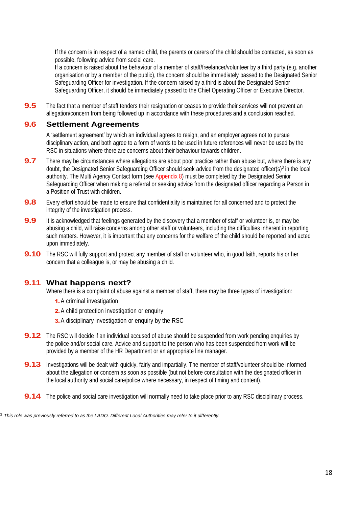**I**f the concern is in respect of a named child, the parents or carers of the child should be contacted, as soon as possible, following advice from social care.

**I**f a concern is raised about the behaviour of a member of staff/freelancer/volunteer by a third party (e.g. another organisation or by a member of the public), the concern should be immediately passed to the Designated Senior Safeguarding Officer for investigation. If the concern raised by a third is about the Designated Senior Safeguarding Officer, it should be immediately passed to the Chief Operating Officer or Executive Director.

**9.5** The fact that a member of staff tenders their resignation or ceases to provide their services will not prevent an allegation/concern from being followed up in accordance with these procedures and a conclusion reached.

#### **9.6 Settlement Agreements**

A 'settlement agreement' by which an individual agrees to resign, and an employer agrees not to pursue disciplinary action, and both agree to a form of words to be used in future references will never be used by the RSC in situations where there are concerns about their behaviour towards children.

- **9.7** There may be circumstances where allegations are about poor practice rather than abuse but, where there is any doubt, the Designated Senior Safeguarding Officer should seek advice from the designated officer(s)<sup>3</sup> in the local authority. The Multi Agency Contact form (see Appendix 8) must be completed by the Designated Senior Safeguarding Officer when making a referral or seeking advice from the designated officer regarding a Person in a Position of Trust with children.
- **9.8** Every effort should be made to ensure that confidentiality is maintained for all concerned and to protect the integrity of the investigation process.
- **9.9** It is acknowledged that feelings generated by the discovery that a member of staff or volunteer is, or may be abusing a child, will raise concerns among other staff or volunteers, including the difficulties inherent in reporting such matters. However, it is important that any concerns for the welfare of the child should be reported and acted upon immediately.
- **9.10** The RSC will fully support and protect any member of staff or volunteer who, in good faith, reports his or her concern that a colleague is, or may be abusing a child.

#### **9.11 What happens next?**

Where there is a complaint of abuse against a member of staff, there may be three types of investigation:

- 1.A criminal investigation
- 2. A child protection investigation or enquiry
- **3.** A disciplinary investigation or enquiry by the RSC
- **9.12** The RSC will decide if an individual accused of abuse should be suspended from work pending enquiries by the police and/or social care. Advice and support to the person who has been suspended from work will be provided by a member of the HR Department or an appropriate line manager.
- **9.13** Investigations will be dealt with quickly, fairly and impartially. The member of staff/volunteer should be informed about the allegation or concern as soon as possible (but not before consultation with the designated officer in the local authority and social care/police where necessary, in respect of timing and content).
- **9.14** The police and social care investigation will normally need to take place prior to any RSC disciplinary process.

<sup>3</sup> *This role was previously referred to as the LADO. Different Local Authorities may refer to it differently.*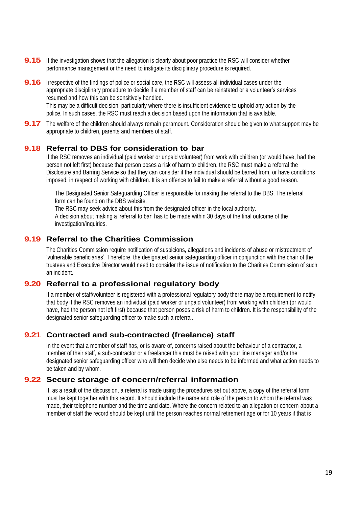- **9.15** If the investigation shows that the allegation is clearly about poor practice the RSC will consider whether performance management or the need to instigate its disciplinary procedure is required.
- **9.16** Irrespective of the findings of police or social care, the RSC will assess all individual cases under the appropriate disciplinary procedure to decide if a member of staff can be reinstated or a volunteer's services resumed and how this can be sensitively handled. This may be a difficult decision, particularly where there is insufficient evidence to uphold any action by the police. In such cases, the RSC must reach a decision based upon the information that is available.
- **9.17** The welfare of the children should always remain paramount. Consideration should be given to what support may be appropriate to children, parents and members of staff.

#### **9.18 Referral to DBS for consideration to bar**

If the RSC removes an individual (paid worker or unpaid volunteer) from work with children (or would have, had the person not left first) because that person poses a risk of harm to children, the RSC must make a referral the Disclosure and Barring Service so that they can consider if the individual should be barred from, or have conditions imposed, in respect of working with children. It is an offence to fail to make a referral without a good reason.

The Designated Senior Safeguarding Officer is responsible for making the referral to the DBS. The referral form can be found on the DBS website.

The RSC may seek advice about this from the designated officer in the local authority.

A decision about making a 'referral to bar' has to be made within 30 days of the final outcome of the investigation/inquiries.

#### **9.19 Referral to the Charities Commission**

The Charities Commission require notification of suspicions, allegations and incidents of abuse or mistreatment of 'vulnerable beneficiaries'. Therefore, the designated senior safeguarding officer in conjunction with the chair of the trustees and Executive Director would need to consider the issue of notification to the Charities Commission of such an incident.

### **9.20 Referral to a professional regulatory body**

If a member of staff/volunteer is registered with a professional regulatory body there may be a requirement to notify that body if the RSC removes an individual (paid worker or unpaid volunteer) from working with children (or would have, had the person not left first) because that person poses a risk of harm to children. It is the responsibility of the designated senior safeguarding officer to make such a referral.

# **9.21 Contracted and sub-contracted (freelance) staff**

In the event that a member of staff has, or is aware of, concerns raised about the behaviour of a contractor, a member of their staff, a sub-contractor or a freelancer this must be raised with your line manager and/or the designated senior safeguarding officer who will then decide who else needs to be informed and what action needs to be taken and by whom.

#### **9.22 Secure storage of concern/referral information**

If, as a result of the discussion, a referral is made using the procedures set out above, a copy of the referral form must be kept together with this record. It should include the name and role of the person to whom the referral was made, their telephone number and the time and date. Where the concern related to an allegation or concern about a member of staff the record should be kept until the person reaches normal retirement age or for 10 years if that is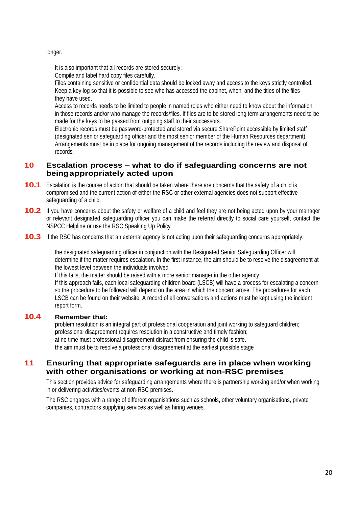longer.

It is also important that all records are stored securely:

Compile and label hard copy files carefully.

Files containing sensitive or confidential data should be locked away and access to the keys strictly controlled. Keep a key log so that it is possible to see who has accessed the cabinet, when, and the titles of the files they have used.

Access to records needs to be limited to people in named roles who either need to know about the information in those records and/or who manage the records/files. If files are to be stored long term arrangements need to be made for the keys to be passed from outgoing staff to their successors.

Electronic records must be password-protected and stored via secure SharePoint accessible by limited staff (designated senior safeguarding officer and the most senior member of the Human Resources department). Arrangements must be in place for ongoing management of the records including the review and disposal of records.

# **10 Escalation process – what to do if safeguarding concerns are not beingappropriately acted upon**

- **10.1** Escalation is the course of action that should be taken where there are concerns that the safety of a child is compromised and the current action of either the RSC or other external agencies does not support effective safeguarding of a child.
- **10.2** If you have concerns about the safety or welfare of <sup>a</sup> child and feel they are not being acted upon by your manager or relevant designated safeguarding officer you can make the referral directly to social care yourself, contact the NSPCC Helpline or use the RSC Speaking Up Policy.
- **10.3** If the RSC has concerns that an external agency is not acting upon their safeguarding concerns appropriately:

the designated safeguarding officer in conjunction with the Designated Senior Safeguarding Officer will determine if the matter requires escalation. In the first instance, the aim should be to resolve the disagreement at the lowest level between the individuals involved.

If this fails, the matter should be raised with a more senior manager in the other agency. If this approach fails, each local safeguarding children board (LSCB) will have a process for escalating a concern so the procedure to be followed will depend on the area in which the concern arose. The procedures for each LSCB can be found on their website. A record of all conversations and actions must be kept using the incident report form.

#### **10.4 Remember that:**

**p**roblem resolution is an integral part of professional cooperation and joint working to safeguard children; **p**rofessional disagreement requires resolution in a constructive and timely fashion; **a**t no time must professional disagreement distract from ensuring the child is safe. **t**he aim must be to resolve a professional disagreement at the earliest possible stage

#### **11 Ensuring that appropriate safeguards are in place when working with other organisations or working at non-RSC premises**

This section provides advice for safeguarding arrangements where there is partnership working and/or when working in or delivering activities/events at non-RSC premises.

The RSC engages with a range of different organisations such as schools, other voluntary organisations, private companies, contractors supplying services as well as hiring venues.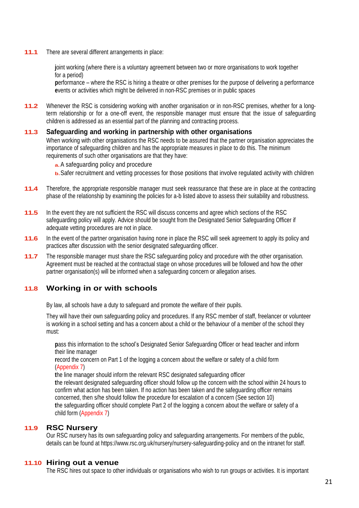**11.1** There are several different arrangements in place:

**j**oint working (where there is a voluntary agreement between two or more organisations to work together for a period)

**p**erformance – where the RSC is hiring a theatre or other premises for the purpose of delivering a performance **e**vents or activities which might be delivered in non-RSC premises or in public spaces

**11.2** Whenever the RSC is considering working with another organisation or in non-RSC premises, whether for a longterm relationship or for a one-off event, the responsible manager must ensure that the issue of safeguarding children is addressed as an essential part of the planning and contracting process.

#### **11.3 Safeguarding and working in partnership with other organisations**

When working with other organisations the RSC needs to be assured that the partner organisation appreciates the importance of safeguarding children and has the appropriate measures in place to do this. The minimum requirements of such other organisations are that they have:

- **a.**A safeguarding policy and procedure
- **b.**Safer recruitment and vetting processes for those positions that involve regulated activity with children
- **11.4** Therefore, the appropriate responsible manager must seek reassurance that these are in place at the contracting phase of the relationship by examining the policies for a-b listed above to assess their suitability and robustness.
- **11.5** In the event they are not sufficient the RSC will discuss concerns and agree which sections of the RSC safeguarding policy will apply. Advice should be sought from the Designated Senior Safeguarding Officer if adequate vetting procedures are not in place.
- **11.6** In the event of the partner organisation having none in place the RSC will seek agreement to apply its policy and practices after discussion with the senior designated safeguarding officer.
- **11.7** The responsible manager must share the RSC safeguarding policy and procedure with the other organisation. Agreement must be reached at the contractual stage on whose procedures will be followed and how the other partner organisation(s) will be informed when a safeguarding concern or allegation arises.

# **11.8 Working in or with schools**

By law, all schools have a duty to safeguard and promote the welfare of their pupils.

They will have their own safeguarding policy and procedures. If any RSC member of staff, freelancer or volunteer is working in a school setting and has a concern about a child or the behaviour of a member of the school they must:

**p**ass this information to the school's Designated Senior Safeguarding Officer or head teacher and inform their line manager

**r**ecord the concern on Part 1 of the logging a concern about the welfare or safety of a child form (Appendix 7)

**t**he line manager should inform the relevant RSC designated safeguarding officer **t**he relevant designated safeguarding officer should follow up the concern with the school within 24 hours to confirm what action has been taken. If no action has been taken and the safeguarding officer remains concerned, then s/he should follow the procedure for escalation of a concern (See section 10) **t**he safeguarding officer should complete Part 2 of the logging a concern about the welfare or safety of a child form (Appendix 7)

# **11.9 RSC Nursery**

Our RSC nursery has its own safeguarding policy and safeguarding arrangements. For members of the public, details can be found at<https://www.rsc.org.uk/nursery/nursery-safeguarding-policy> and on the intranet for staff.

#### **11.10 Hiring out a venue**

The RSC hires out space to other individuals or organisations who wish to run groups or activities. It is important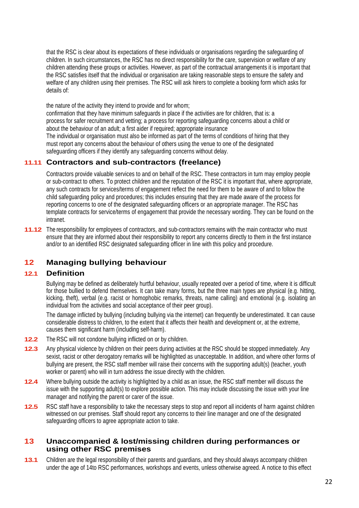that the RSC is clear about its expectations of these individuals or organisations regarding the safeguarding of children. In such circumstances, the RSC has no direct responsibility for the care, supervision or welfare of any children attending these groups or activities. However, as part of the contractual arrangements it is important that the RSC satisfies itself that the individual or organisation are taking reasonable steps to ensure the safety and welfare of any children using their premises. The RSC will ask hirers to complete a booking form which asks for details of:

the nature of the activity they intend to provide and for whom; confirmation that they have minimum safeguards in place if the activities are for children, that is: a process for safer recruitment and vetting; a process for reporting safeguarding concerns about a child or about the behaviour of an adult; a first aider if required; appropriate insurance The individual or organisation must also be informed as part of the terms of conditions of hiring that they must report any concerns about the behaviour of others using the venue to one of the designated safeguarding officers if they identify any safeguarding concerns without delay.

# **11.11 Contractors and sub-contractors (freelance)**

Contractors provide valuable services to and on behalf of the RSC. These contractors in turn may employ people or sub-contract to others. To protect children and the reputation of the RSC it is important that, where appropriate, any such contracts for services/terms of engagement reflect the need for them to be aware of and to follow the child safeguarding policy and procedures; this includes ensuring that they are made aware of the process for reporting concerns to one of the designated safeguarding officers or an appropriate manager. The RSC has template contracts for service/terms of engagement that provide the necessary wording. They can be found on the intranet.

**11.12** The responsibility for employees of contractors, and sub-contractors remains with the main contractor who must ensure that they are informed about their responsibility to report any concerns directly to them in the first instance and/or to an identified RSC designated safeguarding officer in line with this policy and procedure.

# **12 Managing bullying behaviour**

#### **12.1 Definition**

Bullying may be defined as deliberately hurtful behaviour, usually repeated over a period of time, where it is difficult for those bullied to defend themselves. It can take many forms, but the three main types are physical (e.g. hitting, kicking, theft), verbal (e.g. racist or homophobic remarks, threats, name calling) and emotional (e.g. isolating an individual from the activities and social acceptance of their peer group).

The damage inflicted by bullying (including bullying via the internet) can frequently be underestimated. It can cause considerable distress to children, to the extent that it affects their health and development or, at the extreme, causes them significant harm (including self-harm).

- **12.2** The RSC will not condone bullying inflicted on or by children.
- **12.3** Any physical violence by children on their peers during activities at the RSC should be stopped immediately. Any sexist, racist or other derogatory remarks will be highlighted as unacceptable. In addition, and where other forms of bullying are present, the RSC staff member will raise their concerns with the supporting adult(s) (teacher, youth worker or parent) who will in turn address the issue directly with the children.
- **12.4** Where bullying outside the activity is highlighted by <sup>a</sup> child as an issue, the RSC staff member will discuss the issue with the supporting adult(s) to explore possible action. This may include discussing the issue with your line manager and notifying the parent or carer of the issue.
- **12.5** RSC staff have a responsibility to take the necessary steps to stop and report all incidents of harm against children witnessed on our premises. Staff should report any concerns to their line manager and one of the designated safeguarding officers to agree appropriate action to take.

#### **13 Unaccompanied & lost/missing children during performances or using other RSC premises**

**13.1** Children are the legal responsibility of their parents and guardians, and they should always accompany children under the age of 14to RSC performances, workshops and events, unless otherwise agreed. A notice to this effect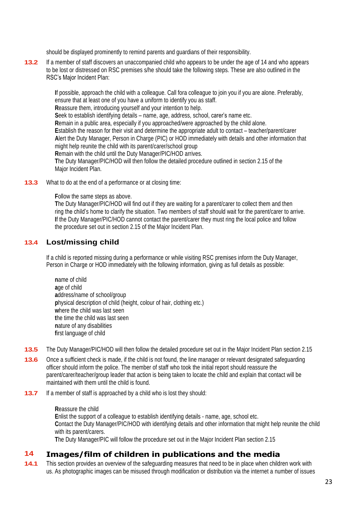should be displayed prominently to remind parents and guardians of their responsibility.

**13.2** If <sup>a</sup> member of staff discovers an unaccompanied child who appears to be under the age of 14 and who appears to be lost or distressed on RSC premises s/he should take the following steps. These are also outlined in the RSC's Major Incident Plan:

> **I**f possible, approach the child with a colleague. Call fora colleague to join you if you are alone. Preferably, ensure that at least one of you have a uniform to identify you as staff. **R**eassure them, introducing yourself and your intention to help. **S**eek to establish identifying details – name, age, address, school, carer's name etc. **R**emain in a public area, especially if you approached/were approached by the child alone. **E**stablish the reason for their visit and determine the appropriate adult to contact – teacher/parent/carer **A**lert the Duty Manager, Person in Charge (PIC) or HOD immediately with details and other information that might help reunite the child with its parent/carer/school group **R**emain with the child until the Duty Manager/PIC/HOD arrives. **T**he Duty Manager/PIC/HOD will then follow the detailed procedure outlined in section 2.15 of the Major Incident Plan.

**13.3** What to do at the end of a performance or at closing time:

**F**ollow the same steps as above.

**T**he Duty Manager/PIC/HOD will find out if they are waiting for a parent/carer to collect them and then ring the child's home to clarify the situation. Two members of staff should wait for the parent/carer to arrive. **I**f the Duty Manager/PIC/HOD cannot contact the parent/carer they must ring the local police and follow the procedure set out in section 2.15 of the Major Incident Plan.

# **13.4 Lost/missing child**

If a child is reported missing during a performance or while visiting RSC premises inform the Duty Manager, Person in Charge or HOD immediately with the following information, giving as full details as possible:

- **n**ame of child **a**ge of child **a**ddress/name of school/group **p**hysical description of child (height, colour of hair, clothing etc.) **w**here the child was last seen **t**he time the child was last seen **n**ature of any disabilities **f**irst language of child
- **13.5** The Duty Manager/PIC/HOD will then follow the detailed procedure set out in the Major Incident Plan section 2.15
- **13.6** Once a sufficient check is made, if the child is not found, the line manager or relevant designated safeguarding officer should inform the police. The member of staff who took the initial report should reassure the parent/carer/teacher/group leader that action is being taken to locate the child and explain that contact will be maintained with them until the child is found.
- **13.7** If a member of staff is approached by a child who is lost they should:

**R**eassure the child **E**nlist the support of a colleague to establish identifying details - name, age, school etc. **C**ontact the Duty Manager/PIC/HOD with identifying details and other information that might help reunite the child with its parent/carers.

**T**he Duty Manager/PIC will follow the procedure set out in the Major Incident Plan section 2.15

#### **14 Images/film of children in publications and the media**

**14.1** This section provides an overview of the safeguarding measures that need to be in place when children work with us. As photographic images can be misused through modification or distribution via the internet a number of issues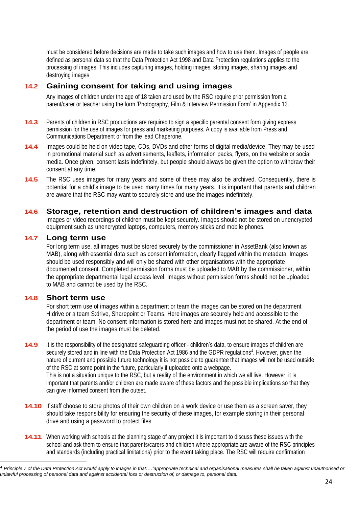must be considered before decisions are made to take such images and how to use them. Images of people are defined as personal data so that the Data Protection Act 1998 and Data Protection regulations applies to the processing of images. This includes capturing images, holding images, storing images, sharing images and destroying images

# **14.2 Gaining consent for taking and using images**

Any images of children under the age of 18 taken and used by the RSC require prior permission from a parent/carer or teacher using the form 'Photography, Film & Interview Permission Form' in Appendix 13.

- **14.3** Parents of children in RSC productions are required to sign <sup>a</sup> specific parental consent form giving express permission for the use of images for press and marketing purposes. A copy is available from Press and Communications Department or from the lead Chaperone.
- **14.4** Images could be held on video tape, CDs, DVDs and other forms of digital media/device. They may be used in promotional material such as advertisements, leaflets, information packs, flyers, on the website or social media. Once given, consent lasts indefinitely, but people should always be given the option to withdraw their consent at any time.
- **14.5** The RSC uses images for many years and some of these may also be archived. Consequently, there is potential for a child's image to be used many times for many years. It is important that parents and children are aware that the RSC may want to securely store and use the images indefinitely.

#### **14.6 Storage, retention and destruction of children's images and data**

Images or video recordings of children must be kept securely. Images should not be stored on unencrypted equipment such as unencrypted laptops, computers, memory sticks and mobile phones.

#### **14.7 Long term use**

For long term use, all images must be stored securely by the commissioner in AssetBank (also known as MAB), along with essential data such as consent information, clearly flagged within the metadata. Images should be used responsibly and will only be shared with other organisations with the appropriate documented consent. Completed permission forms must be uploaded to MAB by the commissioner, within the appropriate departmental legal access level. Images without permission forms should not be uploaded to MAB and cannot be used by the RSC.

#### **14.8 Short term use**

For short term use of images within a department or team the images can be stored on the department H:drive or a team S:drive, Sharepoint or Teams. Here images are securely held and accessible to the department or team. No consent information is stored here and images must not be shared. At the end of the period of use the images must be deleted.

- **14.9** It is the responsibility of the designated safeguarding officer children's data, to ensure images of children are securely stored and in line with the Data Protection Act 1986 and the GDPR regulations<sup>4</sup>. However, given the nature of current and possible future technology it is not possible to guarantee that images will not be used outside of the RSC at some point in the future, particularly if uploaded onto a webpage. This is not a situation unique to the RSC, but a reality of the environment in which we all live. However, it is important that parents and/or children are made aware of these factors and the possible implications so that they can give informed consent from the outset.
- **14.10** If staff choose to store photos of their own children on a work device or use them as a screen saver, they should take responsibility for ensuring the security of these images, for example storing in their personal drive and using a password to protect files.
- **14.11** When working with schools at the planning stage of any project it is important to discuss these issues with the school and ask them to ensure that parents/carers and children where appropriate are aware of the RSC principles and standards (including practical limitations) prior to the event taking place. The RSC will require confirmation

<sup>4</sup> *Principle 7 of the Data Protection Act would apply to images in that:…"appropriate technical and organisational measures shall be taken against unauthorised or unlawful processing of personal data and against accidental loss or destruction of, or damage to, personal data.*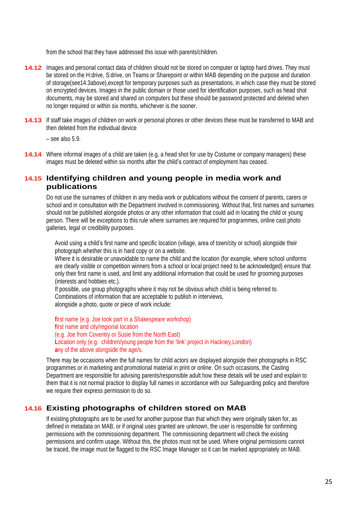from the school that they have addressed this issue with parents/children.

- **14.12** Images and personal contact data of children should not be stored on computer or laptop hard drives. They must be stored on the H:drive, S:drive, on Teams or Sharepoint or within MAB depending on the purpose and duration of storage(see14.3above),except for temporary purposes such as presentations, in which case they must be stored on encrypted devices. Images in the public domain or those used for identification purposes, such as head shot documents, may be stored and shared on computers but these should be password protected and deleted when no longer required or within six months, whichever is the sooner.
- **14.13** If staff take images of children on work or personal phones or other devices these must be transferred to MAB and then deleted from the individual device

 $-$  see also  $5.9$ .

**14.14** Where informal images of a child are taken (e.g. a head shot for use by Costume or company managers) these images must be deleted within six months after the child's contract of employment has ceased.

# **14.15 Identifying children and young people in media work and publications**

Do not use the surnames of children in any media work or publications without the consent of parents, carers or school and in consultation with the Department involved in commissioning. Without that, first names and surnames should not be published alongside photos or any other information that could aid in locating the child or young person. There will be exceptions to this rule where surnames are required for programmes, online cast photo galleries, legal or credibility purposes.

Avoid using a child's first name and specific location (village, area of town/city or school) alongside their photograph whether this is in hard copy or on a website.

Where it is desirable or unavoidable to name the child and the location (for example, where school uniforms are clearly visible or competition winners from a school or local project need to be acknowledged) ensure that only their first name is used, and limit any additional information that could be used for grooming purposes (interests and hobbies etc.).

If possible, use group photographs where it may not be obvious which child is being referred to. Combinations of information that are acceptable to publish in interviews, alongside a photo, quote or piece of work include:

**f**irst name (e.g. Joe took part in a Shakespeare workshop) **f**irst name and city/regional location (e.g. Joe from Coventry or Susie from the North East) **L**ocation only (e.g. children/young people from the 'link' project in Hackney,London) **a**ny of the above alongside the age/s.

There may be occasions when the full names for child actors are displayed alongside their photographs in RSC programmes or in marketing and promotional material in print or online. On such occasions, the Casting Department are responsible for advising parents/responsible adult how these details will be used and explain to them that it is not normal practice to display full names in accordance with our Safeguarding policy and therefore we require their express permission to do so.

# **14.16 Existing photographs of children stored on MAB**

If existing photographs are to be used for another purpose than that which they were originally taken for, as defined in metadata on MAB, or if original uses granted are unknown, the user is responsible for confirming permissions with the commissioning department. The commissioning department will check the existing permissions and confirm usage. Without this, the photos must not be used. Where original permissions cannot be traced, the image must be flagged to the RSC Image Manager so it can be marked appropriately on MAB.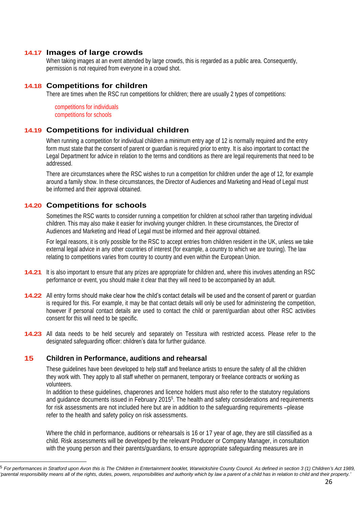#### **14.17 Images of large crowds**

When taking images at an event attended by large crowds, this is regarded as a public area. Consequently, permission is not required from everyone in a crowd shot.

#### **14.18 Competitions for children**

There are times when the RSC run competitions for children; there are usually 2 types of competitions:

competitions for individuals competitions for schools

#### **14.19 Competitions for individual children**

When running a competition for individual children a minimum entry age of 12 is normally required and the entry form must state that the consent of parent or guardian is required prior to entry. It is also important to contact the Legal Department for advice in relation to the terms and conditions as there are legal requirements that need to be addressed.

There are circumstances where the RSC wishes to run a competition for children under the age of 12, for example around a family show. In these circumstances, the Director of Audiences and Marketing and Head of Legal must be informed and their approval obtained.

# **14.20 Competitions for schools**

Sometimes the RSC wants to consider running a competition for children at school rather than targeting individual children. This may also make it easier for involving younger children. In these circumstances, the Director of Audiences and Marketing and Head of Legal must be informed and their approval obtained.

For legal reasons, it is only possible for the RSC to accept entries from children resident in the UK, unless we take external legal advice in any other countries of interest (for example, a country to which we are touring). The law relating to competitions varies from country to country and even within the European Union.

- **14.21** It is also important to ensure that any prizes are appropriate for children and, where this involves attending an RSC performance or event, you should make it clear that they will need to be accompanied by an adult.
- **14.22** All entry forms should make clear how the child's contact details will be used and the consent of parent or guardian is required for this. For example, it may be that contact details will only be used for administering the competition, however if personal contact details are used to contact the child or parent/guardian about other RSC activities consent for this will need to be specific.
- **14.23** All data needs to be held securely and separately on Tessitura with restricted access. Please refer to the designated safeguarding officer: children's data for further guidance.

#### **15 Children in Performance, auditions and rehearsal**

These guidelines have been developed to help staff and freelance artists to ensure the safety of all the children they work with. They apply to all staff whether on permanent, temporary or freelance contracts or working as volunteers.

In addition to these guidelines, chaperones and licence holders must also refer to the statutory regulations and guidance documents issued in February 2015<sup>5</sup> . The health and safety considerations and requirements for risk assessments are not included here but are in addition to the safeguarding requirements –please refer to the health and safety policy on risk assessments.

Where the child in performance, auditions or rehearsals is 16 or 17 year of age, they are still classified as a child. Risk assessments will be developed by the relevant Producer or Company Manager, in consultation with the young person and their parents/guardians, to ensure appropriate safeguarding measures are in

<sup>5</sup> *For performances in Stratford upon Avon this is The Children in Entertainment booklet, Warwickshire County Council. As defined in section 3 (1) Children's Act 1989, 'parental responsibility means all of the rights, duties, powers, responsibilities and authority which by law a parent of a child has in relation to child and their property.'*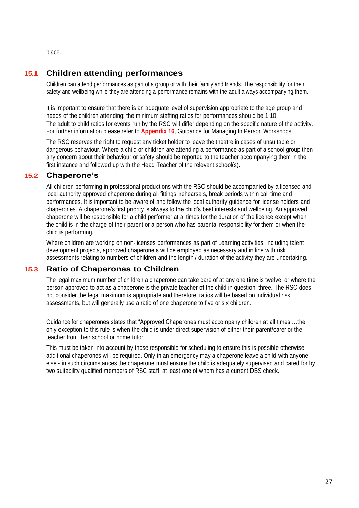place.

# **15.1 Children attending performances**

Children can attend performances as part of a group or with their family and friends. The responsibility for their safety and wellbeing while they are attending a performance remains with the adult always accompanying them.

It is important to ensure that there is an adequate level of supervision appropriate to the age group and needs of the children attending; the minimum staffing ratios for performances should be 1:10. The adult to child ratios for events run by the RSC will differ depending on the specific nature of the activity. For further information please refer to **Appendix 16**, Guidance for Managing In Person Workshops.

The RSC reserves the right to request any ticket holder to leave the theatre in cases of unsuitable or dangerous behaviour. Where a child or children are attending a performance as part of a school group then any concern about their behaviour or safety should be reported to the teacher accompanying them in the first instance and followed up with the Head Teacher of the relevant school(s).

# **15.2 Chaperone's**

All children performing in professional productions with the RSC should be accompanied by a licensed and local authority approved chaperone during all fittings, rehearsals, break periods within call time and performances. It is important to be aware of and follow the local authority guidance for license holders and chaperones. A chaperone's first priority is always to the child's best interests and wellbeing. An approved chaperone will be responsible for a child performer at al times for the duration of the licence except when the child is in the charge of their parent or a person who has parental responsibility for them or when the child is performing.

Where children are working on non-licenses performances as part of Learning activities, including talent development projects, approved chaperone's will be employed as necessary and in line with risk assessments relating to numbers of children and the length / duration of the activity they are undertaking.

# **15.3 Ratio of Chaperones to Children**

The legal maximum number of children a chaperone can take care of at any one time is twelve; or where the person approved to act as a chaperone is the private teacher of the child in question, three. The RSC does not consider the legal maximum is appropriate and therefore, ratios will be based on individual risk assessments, but will generally use a ratio of one chaperone to five or six children.

Guidance for chaperones states that "Approved Chaperones must accompany children at all times …the only exception to this rule is when the child is under direct supervision of either their parent/carer or the teacher from their school or home tutor.

This must be taken into account by those responsible for scheduling to ensure this is possible otherwise additional chaperones will be required. Only in an emergency may a chaperone leave a child with anyone else - in such circumstances the chaperone must ensure the child is adequately supervised and cared for by two suitability qualified members of RSC staff, at least one of whom has a current DBS check.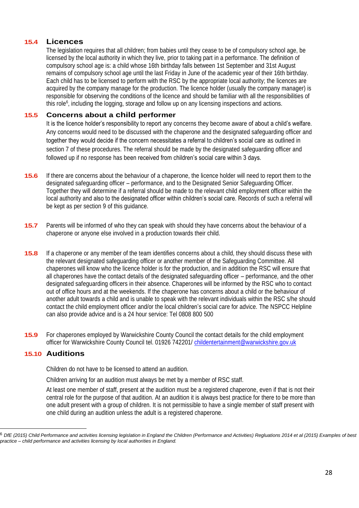# **15.4 Licences**

The legislation requires that all children; from babies until they cease to be of compulsory school age, be licensed by the local authority in which they live, prior to taking part in a performance. The definition of compulsory school age is: a child whose 16th birthday falls between 1st September and 31st August remains of compulsory school age until the last Friday in June of the academic year of their 16th birthday. Each child has to be licensed to perform with the RSC by the appropriate local authority; the licences are acquired by the company manage for the production. The licence holder (usually the company manager) is responsible for observing the conditions of the licence and should be familiar with all the responsibilities of this role<sup>6</sup>, including the logging, storage and follow up on any licensing inspections and actions.

### **15.5 Concerns about a child performer**

It is the licence holder's responsibility to report any concerns they become aware of about a child's welfare. Any concerns would need to be discussed with the chaperone and the designated safeguarding officer and together they would decide if the concern necessitates a referral to children's social care as outlined in section 7 of these procedures. The referral should be made by the designated safeguarding officer and followed up if no response has been received from children's social care within 3 days.

- **15.6** If there are concerns about the behaviour of a chaperone, the licence holder will need to report them to the designated safeguarding officer – performance, and to the Designated Senior Safeguarding Officer. Together they will determine if a referral should be made to the relevant child employment officer within the local authority and also to the designated officer within children's social care. Records of such a referral will be kept as per section 9 of this guidance.
- **15.7** Parents will be informed of who they can speak with should they have concerns about the behaviour of a chaperone or anyone else involved in a production towards their child.
- **15.8** If a chaperone or any member of the team identifies concerns about a child, they should discuss these with the relevant designated safeguarding officer or another member of the Safeguarding Committee. All chaperones will know who the licence holder is for the production, and in addition the RSC will ensure that all chaperones have the contact details of the designated safeguarding officer – performance, and the other designated safeguarding officers in their absence. Chaperones will be informed by the RSC who to contact out of office hours and at the weekends. If the chaperone has concerns about a child or the behaviour of another adult towards a child and is unable to speak with the relevant individuals within the RSC s/he should contact the child employment officer and/or the local children's social care for advice. The NSPCC Helpline can also provide advice and is a 24 hour service: Tel 0808 800 500
- **15.9** For chaperones employed by Warwickshire County Council the contact details for the child employment officer for Warwickshire County Council tel. 01926 742201/ [childentertainment@warwickshire.gov.uk](mailto:childentertainment@warwickshire.gov.uk)

# **15.10 Auditions**

Children do not have to be licensed to attend an audition.

Children arriving for an audition must always be met by a member of RSC staff.

At least one member of staff, present at the audition must be a registered chaperone, even if that is not their central role for the purpose of that audition. At an audition it is always best practice for there to be more than one adult present with a group of children. It is not permissible to have a single member of staff present with one child during an audition unless the adult is a registered chaperone.

<sup>6</sup> *DfE (2015) Child Performance and activities licensing legislation in England the Children (Performance and Activities) Regluations 2014 et al (2015) Examples of best practice – child performance and activities licensing by local authorities in England.*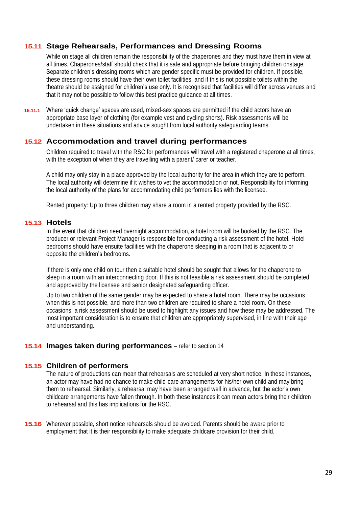# **15.11 Stage Rehearsals, Performances and Dressing Rooms**

While on stage all children remain the responsibility of the chaperones and they must have them in view at all times. Chaperones/staff should check that it is safe and appropriate before bringing children onstage. Separate children's dressing rooms which are gender specific must be provided for children. If possible, these dressing rooms should have their own toilet facilities, and if this is not possible toilets within the theatre should be assigned for children's use only. It is recognised that facilities will differ across venues and that it may not be possible to follow this best practice guidance at all times.

**15.11.1** Where 'quick change' spaces are used, mixed-sex spaces are permitted if the child actors have an appropriate base layer of clothing (for example vest and cycling shorts). Risk assessments will be undertaken in these situations and advice sought from local authority safeguarding teams.

# **15.12 Accommodation and travel during performances**

Children required to travel with the RSC for performances will travel with a registered chaperone at all times, with the exception of when they are travelling with a parent/ carer or teacher.

A child may only stay in a place approved by the local authority for the area in which they are to perform. The local authority will determine if it wishes to vet the accommodation or not. Responsibility for informing the local authority of the plans for accommodating child performers lies with the licensee.

Rented property: Up to three children may share a room in a rented property provided by the RSC.

#### **15.13 Hotels**

In the event that children need overnight accommodation, a hotel room will be booked by the RSC. The producer or relevant Project Manager is responsible for conducting a risk assessment of the hotel. Hotel bedrooms should have ensuite facilities with the chaperone sleeping in a room that is adjacent to or opposite the children's bedrooms.

If there is only one child on tour then a suitable hotel should be sought that allows for the chaperone to sleep in a room with an interconnecting door. If this is not feasible a risk assessment should be completed and approved by the licensee and senior designated safeguarding officer.

Up to two children of the same gender may be expected to share a hotel room. There may be occasions when this is not possible, and more than two children are required to share a hotel room. On these occasions, a risk assessment should be used to highlight any issues and how these may be addressed. The most important consideration is to ensure that children are appropriately supervised, in line with their age and understanding.

#### **15.14 Images taken during performances** – refer to section 14

#### **15.15 Children of performers**

The nature of productions can mean that rehearsals are scheduled at very short notice. In these instances, an actor may have had no chance to make child-care arrangements for his/her own child and may bring them to rehearsal. Similarly, a rehearsal may have been arranged well in advance, but the actor's own childcare arrangements have fallen through. In both these instances it can mean actors bring their children to rehearsal and this has implications for the RSC.

**15.16** Wherever possible, short notice rehearsals should be avoided. Parents should be aware prior to employment that it is their responsibility to make adequate childcare provision for their child.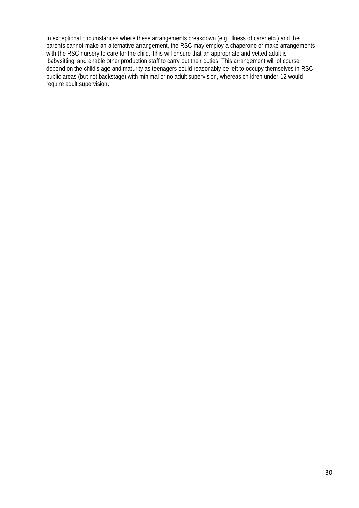In exceptional circumstances where these arrangements breakdown (e.g. illness of carer etc.) and the parents cannot make an alternative arrangement, the RSC may employ a chaperone or make arrangements with the RSC nursery to care for the child. This will ensure that an appropriate and vetted adult is 'babysitting' and enable other production staff to carry out their duties. This arrangement will of course depend on the child's age and maturity as teenagers could reasonably be left to occupy themselves in RSC public areas (but not backstage) with minimal or no adult supervision, whereas children under 12 would require adult supervision.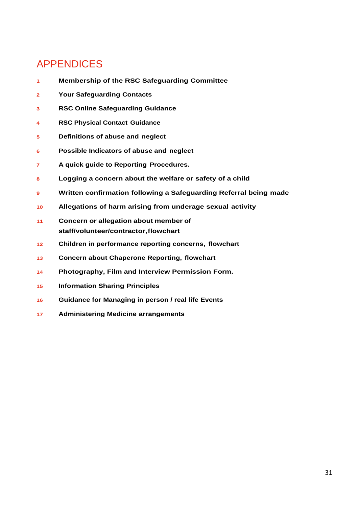# APPENDICES

- **Membership of the RSC Safeguarding Committee**
- **Your Safeguarding Contacts**
- **RSC Online Safeguarding Guidance**
- **RSC Physical Contact Guidance**
- **Definitions of abuse and neglect**
- **Possible Indicators of abuse and neglect**
- **A quick guide to Reporting Procedures.**
- **Logging a concern about the welfare or safety of a child**
- **Written confirmation following a Safeguarding Referral being made**
- **Allegations of harm arising from underage sexual activity**
- **Concern or allegation about member of staff/volunteer/contractor,flowchart**
- **Children in performance reporting concerns, flowchart**
- **Concern about Chaperone Reporting, flowchart**
- **Photography, Film and Interview Permission Form.**
- **Information Sharing Principles**
- **Guidance for Managing in person / real life Events**
- **Administering Medicine arrangements**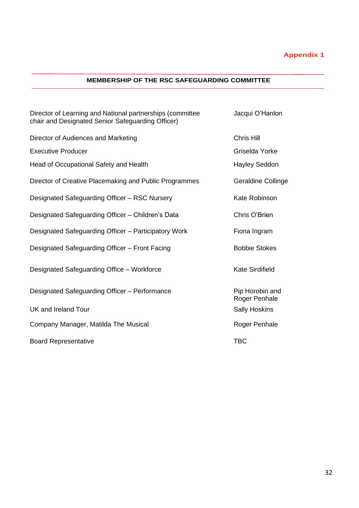# **Appendix 1**

#### **MEMBERSHIP OF THE RSC SAFEGUARDING COMMITTEE**

| Director of Learning and National partnerships (committee<br>chair and Designated Senior Safeguarding Officer) | Jacqui O'Hanlon                  |
|----------------------------------------------------------------------------------------------------------------|----------------------------------|
| Director of Audiences and Marketing                                                                            | Chris Hill                       |
| <b>Executive Producer</b>                                                                                      | Griselda Yorke                   |
| Head of Occupational Safety and Health                                                                         | <b>Hayley Seddon</b>             |
| Director of Creative Placemaking and Public Programmes                                                         | <b>Geraldine Collinge</b>        |
| Designated Safeguarding Officer - RSC Nursery                                                                  | Kate Robinson                    |
| Designated Safeguarding Officer - Children's Data                                                              | Chris O'Brien                    |
| Designated Safeguarding Officer - Participatory Work                                                           | Fiona Ingram                     |
| Designated Safeguarding Officer - Front Facing                                                                 | <b>Bobbie Stokes</b>             |
| Designated Safeguarding Office - Workforce                                                                     | <b>Kate Sirdifield</b>           |
| Designated Safeguarding Officer - Performance                                                                  | Pip Horobin and<br>Roger Penhale |
| UK and Ireland Tour                                                                                            | <b>Sally Hoskins</b>             |
| Company Manager, Matilda The Musical                                                                           | Roger Penhale                    |
| <b>Board Representative</b>                                                                                    | <b>TBC</b>                       |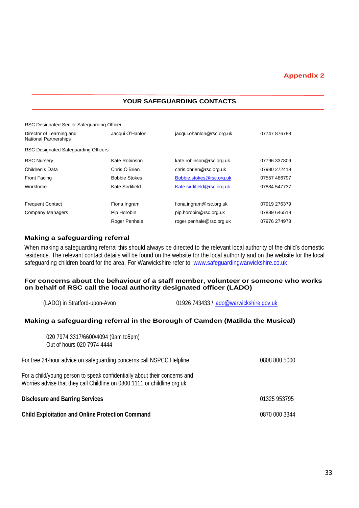#### **Appendix 2**

#### **YOUR SAFEGUARDING CONTACTS**

| RSC Designated Senior Safeguarding Officer               |                      |                            |              |
|----------------------------------------------------------|----------------------|----------------------------|--------------|
| Director of Learning and<br><b>National Partnerships</b> | Jacqui O'Hanlon      | jacqui.ohanlon@rsc.org.uk  | 07747876788  |
| RSC Designated Safeguarding Officers                     |                      |                            |              |
| <b>RSC Nursery</b>                                       | Kate Robinson        | kate.robinson@rsc.org.uk   | 07796 337809 |
| Children's Data                                          | Chris O'Brien        | chris.obrien@rsc.org.uk    | 07980 272419 |
| Front Facing                                             | <b>Bobbie Stokes</b> | Bobbie.stokes@rsc.org.uk   | 07557 486797 |
| Workforce                                                | Kate Sirdifield      | Kate.sirdifield@rsc.org.uk | 07884 547737 |
| <b>Frequent Contact</b>                                  | Fiona Ingram         | fiona.ingram@rsc.org.uk    | 07919 276379 |
| Company Managers                                         | Pip Horobin          | pip.horobin@rsc.org.uk     | 07889 646518 |
|                                                          | Roger Penhale        | roger.penhale@rsc.org.uk   | 07976 274978 |

#### **Making a safeguarding referral**

When making a safeguarding referral this should always be directed to the relevant local authority of the child's domestic residence. The relevant contact details will be found on the website for the local authority and on the website for the local safeguarding children board for the area. For Warwickshire refer to: [www.safeguardingwarwickshire.co.uk](http://www.safeguardingwarwickshire.co.uk/)

#### **For concerns about the behaviour of a staff member, volunteer or someone who works on behalf of RSC call the local authority designated officer (LADO)**

| 01926 743433 / lado@warwickshire.gov.uk<br>(LADO) in Stratford-upon-Avon |  |
|--------------------------------------------------------------------------|--|
|--------------------------------------------------------------------------|--|

#### **Making a safeguarding referral in the Borough of Camden (Matilda the Musical)**

| <b>Child Exploitation and Online Protection Command</b>                                                                                               | 0870 000 3344 |
|-------------------------------------------------------------------------------------------------------------------------------------------------------|---------------|
| <b>Disclosure and Barring Services</b>                                                                                                                | 01325 953795  |
| For a child/young person to speak confidentially about their concerns and<br>Worries advise that they call Childline on 0800 1111 or childline.org.uk |               |
| For free 24-hour advice on safeguarding concerns call NSPCC Helpline                                                                                  | 0808 800 5000 |
| 020 7974 3317/6600/4094 (9am to5pm)<br>Out of hours 020 7974 4444                                                                                     |               |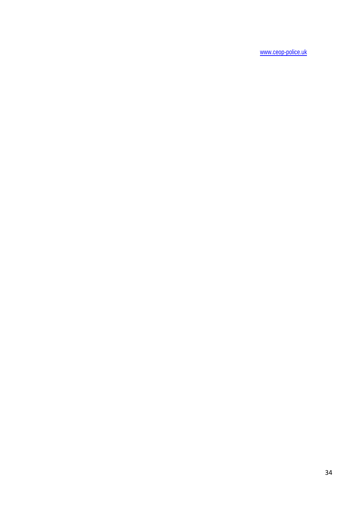[www.ceop-police.uk](http://www.ceop-police.uk/)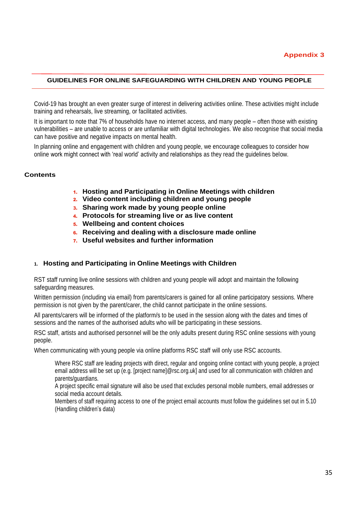#### **GUIDELINES FOR ONLINE SAFEGUARDING WITH CHILDREN AND YOUNG PEOPLE**

Covid-19 has brought an even greater surge of interest in delivering activities online. These activities might include training and rehearsals, live streaming, or facilitated activities.

It is important to note that 7% of households have no internet access, and many people – often those with existing vulnerabilities – are unable to access or are unfamiliar with digital technologies. We also recognise that social media can have positive and negative impacts on mental health.

In planning online and engagement with children and young people, we encourage colleagues to consider how online work might connect with 'real world' activity and relationships as they read the guidelines below.

#### **Contents**

- 1. **Hosting and Participating in Online Meetings with children**
- 2. **Video content including children and young people**
- 3. **Sharing work made by young people online**
- 4. **Protocols for streaming live or as live content**
- 5. **Wellbeing and content choices**
- 6. **Receiving and dealing with a disclosure made online**
- 7. **Useful websites and further information**

#### **1. Hosting and Participating in Online Meetings with Children**

RST staff running live online sessions with children and young people will adopt and maintain the following safeguarding measures.

Written permission (including via email) from parents/carers is gained for all online participatory sessions. Where permission is not given by the parent/carer, the child cannot participate in the online sessions.

All parents/carers will be informed of the platform/s to be used in the session along with the dates and times of sessions and the names of the authorised adults who will be participating in these sessions.

RSC staff, artists and authorised personnel will be the only adults present during RSC online sessions with young people.

When communicating with young people via online platforms RSC staff will only use RSC accounts.

Where RSC staff are leading projects with direct, regular and ongoing online contact with young people, a project email address will be set up (e.g. [project name]@rsc.org.uk] and used for all communication with children and parents/guardians.

A project specific email signature will also be used that excludes personal mobile numbers, email addresses or social media account details.

Members of staff requiring access to one of the project email accounts must follow the guidelines set out in 5.10 (Handling children's data)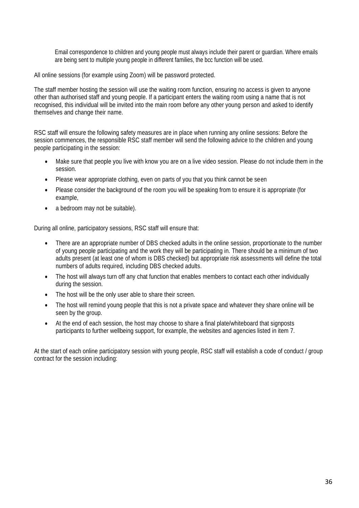Email correspondence to children and young people must always include their parent or guardian. Where emails are being sent to multiple young people in different families, the bcc function will be used.

All online sessions (for example using Zoom) will be password protected.

The staff member hosting the session will use the [waiting room f](https://blog.zoom.us/wordpress/2020/02/14/secure-your-meetings-zoom-waiting-rooms/?zcid=1231)unction, ensuring no access is given to anyone other than authorised staff and young people. If a participant enters the waiting room using a name that is not recognised, this individual will be invited into the main room before any other young person and asked to identify themselves and change their name.

RSC staff will ensure the following safety measures are in place when running any online sessions: Before the session commences, the responsible RSC staff member will send the following advice to the children and young people participating in the session:

- Make sure that people you live with know you are on a live video session. Please do not include them in the session.
- Please wear appropriate clothing, even on parts of you that you think cannot be seen
- Please consider the background of the room you will be speaking from to ensure it is appropriate (for example,
- a bedroom may not be suitable).

During all online, participatory sessions, RSC staff will ensure that:

- There are an appropriate number of DBS checked adults in the online session, proportionate to the number of young people participating and the work they will be participating in. There should be a minimum of two adults present (at least one of whom is DBS checked) but appropriate risk assessments will define the total numbers of adults required, including DBS checked adults.
- The host will always turn off any chat function that enables members to contact each other individually during the session.
- The host will be the only user able to share their screen.
- The host will remind young people that this is not a private space and whatever they share online will be seen by the group.
- At the end of each session, the host may choose to share a final plate/whiteboard that signposts participants to further wellbeing support, for example, the websites and agencies listed in item 7.

At the start of each online participatory session with young people, RSC staff will establish a code of conduct / group contract for the session including: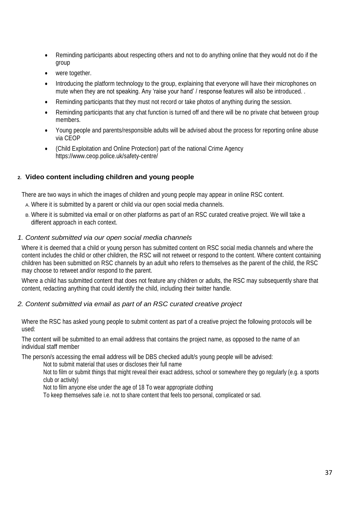- Reminding participants about respecting others and not to do anything online that they would not do if the group
- were together.
- Introducing the platform technology to the group, explaining that everyone will have their microphones on mute when they are not speaking. Any 'raise your hand' / response features will also be introduced. .
- Reminding participants that they must not record or take photos of anything during the session.
- Reminding participants that any chat function is turned off and there will be no private chat between group members.
- Young people and parents/responsible adults will be advised about the process for reporting online abuse via CEOP
- (Child Exploitation and Online Protection) part of the national Crime Agency <https://www.ceop.police.uk/safety-centre/>

#### **2. Video content including children and young people**

There are two ways in which the images of children and young people may appear in online RSC content.

- A. Where it is submitted by a parent or child via our open social media channels.
- B. Where it is submitted via email or on other platforms as part of an RSC curated creative project. We will take a different approach in each context.

#### *1. Content submitted via our open social media channels*

Where it is deemed that a child or young person has submitted content on RSC social media channels and where the content includes the child or other children, the RSC will not retweet or respond to the content. Where content containing children has been submitted on RSC channels by an adult who refers to themselves as the parent of the child, the RSC may choose to retweet and/or respond to the parent.

Where a child has submitted content that does not feature any children or adults, the RSC may subsequently share that content, redacting anything that could identify the child, including their twitter handle.

#### *2. Content submitted via email as part of an RSC curated creative project*

Where the RSC has asked young people to submit content as part of a creative project the following protocols will be used:

The content will be submitted to an email address that contains the project name, as opposed to the name of an individual staff member

The person/s accessing the email address will be DBS checked adult/s young people will be advised:

Not to submit material that uses or discloses their full name

Not to film or submit things that might reveal their exact address, school or somewhere they go regularly (e.g. a sports club or activity)

Not to film anyone else under the age of 18 To wear appropriate clothing

To keep themselves safe i.e. not to share content that feels too personal, complicated or sad.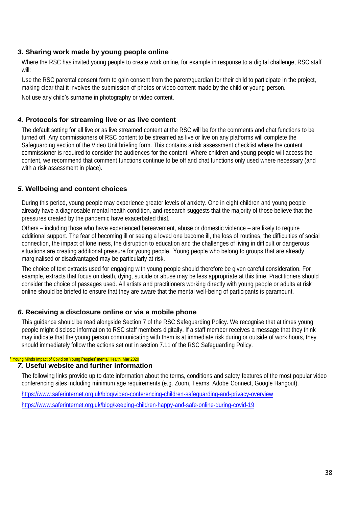#### *3.* **Sharing work made by young people online**

Where the RSC has invited young people to create work online, for example in response to a digital challenge, RSC staff will:

Use the RSC parental consent form to gain consent from the parent/guardian for their child to participate in the project, making clear that it involves the submission of photos or video content made by the child or young person.

Not use any child's surname in photography or video content.

#### *4.* **Protocols for streaming live or as live content**

The default setting for all live or as live streamed content at the RSC will be for the comments and chat functions to be turned off. Any commissioners of RSC content to be streamed as live or live on any platforms will complete the Safeguarding section of the Video Unit briefing form. This contains a risk assessment checklist where the content commissioner is required to consider the audiences for the content. Where children and young people will access the content, we recommend that comment functions continue to be off and chat functions only used where necessary (and with a risk assessment in place).

## *5.* **Wellbeing and content choices**

During this period, young people may experience greater levels of anxiety. One in eight children and young people already have a diagnosable mental health condition, and research suggests that the majority of those believe that the pressures created by the pandemic have exacerbated this1.

Others – including those who have experienced bereavement, abuse or domestic violence – are likely to require additional support. The fear of becoming ill or seeing a loved one become ill, the loss of routines, the difficulties of social connection, the impact of loneliness, the disruption to education and the challenges of living in difficult or dangerous situations are creating additional pressure for young people.  Young people who belong to groups that are already marginalised or disadvantaged may be particularly at risk.

The choice of text extracts used for engaging with young people should therefore be given careful consideration. For example, extracts that focus on death, dying, suicide or abuse may be less appropriate at this time. Practitioners should consider the choice of passages used. All artists and practitioners working directly with young people or adults at risk online should be briefed to ensure that they are aware that the mental well-being of participants is paramount.

#### *6.* **Receiving a disclosure online or via a mobile phone**

This guidance should be read alongside Section 7 of the RSC Safeguarding Policy. We recognise that at times young people might disclose information to RSC staff members digitally. If a staff member receives a message that they think may indicate that the young person communicating with them is at immediate risk during or outside of work hours, they should immediately follow the actions set out in section 7.11 of the RSC Safeguarding Policy.

#### <sup>1</sup> Young Minds Impact of Covid on Young Peoples' mental Health, Mar 2020

#### *7.* **Useful website and further information**

The following links provide up to date information about the terms, conditions and safety features of the most popular video conferencing sites including minimum age requirements (e.g. Zoom, Teams, Adobe Connect, Google Hangout).

<https://www.saferinternet.org.uk/blog/video-conferencing-children-safeguarding-and-privacy-overview>

<https://www.saferinternet.org.uk/blog/keeping-children-happy-and-safe-online-during-covid-19>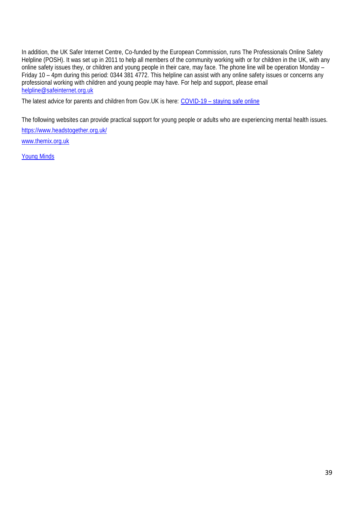In addition, the UK Safer Internet Centre, Co-funded by the European Commission, runs The Professionals Online Safety Helpline (POSH). It was set up in 2011 to help all members of the community working with or for children in the UK, with any online safety issues they, or children and young people in their care, may face. The phone line will be operation Monday – Friday 10 – 4pm during this period: 0344 381 4772. This helpline can assist with any online safety issues or concerns any professional working with children and young people may have. For help and support, please email [helpline@safeinternet.org.uk](mailto:helpline@safeinternet.org.uk)

The latest advice for parents and children from Gov. UK is here: COVID-19 - [staying safe online](https://www.gov.uk/coronavirus)

The following websites can provide practical support for young people or adults who are experiencing mental health issues.

<https://www.headstogether.org.uk/>

[www.themix.org.uk](http://www.themix.org.uk/)

[Young Minds](https://www.youngminds.org.uk/?gclid=EAIaIQobChMI7fj6kKnF6QIViZntCh3FUgcCEAAYASAAEgJEsvD_BwE)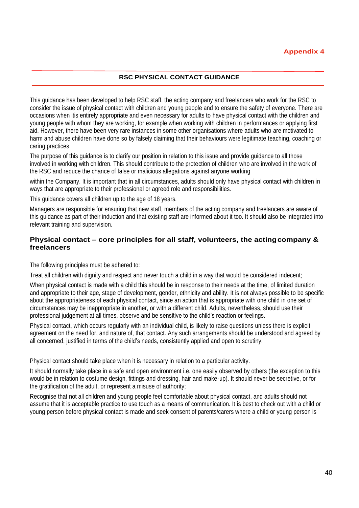#### **RSC PHYSICAL CONTACT GUIDANCE**

This guidance has been developed to help RSC staff, the acting company and freelancers who work for the RSC to consider the issue of physical contact with children and young people and to ensure the safety of everyone. There are occasions when itis entirely appropriate and even necessary for adults to have physical contact with the children and young people with whom they are working, for example when working with children in performances or applying first aid. However, there have been very rare instances in some other organisations where adults who are motivated to harm and abuse children have done so by falsely claiming that their behaviours were legitimate teaching, coaching or caring practices.

The purpose of this guidance is to clarify our position in relation to this issue and provide guidance to all those involved in working with children. This should contribute to the protection of children who are involved in the work of the RSC and reduce the chance of false or malicious allegations against anyone working

within the Company. It is important that in all circumstances, adults should only have physical contact with children in ways that are appropriate to their professional or agreed role and responsibilities.

This guidance covers all children up to the age of 18 years.

Managers are responsible for ensuring that new staff, members of the acting company and freelancers are aware of this guidance as part of their induction and that existing staff are informed about it too. It should also be integrated into relevant training and supervision.

#### **Physical contact – core principles for all staff, volunteers, the actingcompany & freelancers**

The following principles must be adhered to:

Treat all children with dignity and respect and never touch a child in a way that would be considered indecent;

When physical contact is made with a child this should be in response to their needs at the time, of limited duration and appropriate to their age, stage of development, gender, ethnicity and ability. It is not always possible to be specific about the appropriateness of each physical contact, since an action that is appropriate with one child in one set of circumstances may be inappropriate in another, or with a different child. Adults, nevertheless, should use their professional judgement at all times, observe and be sensitive to the child's reaction or feelings.

Physical contact, which occurs regularly with an individual child, is likely to raise questions unless there is explicit agreement on the need for, and nature of, that contact. Any such arrangements should be understood and agreed by all concerned, justified in terms of the child's needs, consistently applied and open to scrutiny.

Physical contact should take place when it is necessary in relation to a particular activity.

It should normally take place in a safe and open environment i.e. one easily observed by others (the exception to this would be in relation to costume design, fittings and dressing, hair and make-up). It should never be secretive, or for the gratification of the adult, or represent a misuse of authority;

Recognise that not all children and young people feel comfortable about physical contact, and adults should not assume that it is acceptable practice to use touch as a means of communication. It is best to check out with a child or young person before physical contact is made and seek consent of parents/carers where a child or young person is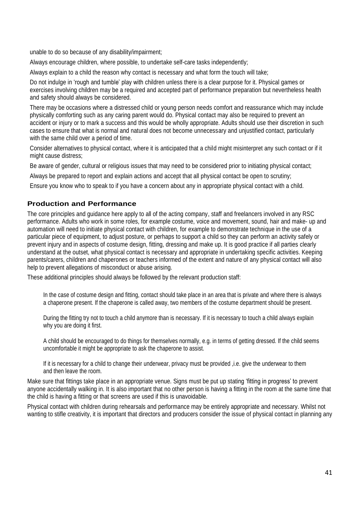unable to do so because of any disability/impairment;

Always encourage children, where possible, to undertake self-care tasks independently;

Always explain to a child the reason why contact is necessary and what form the touch will take;

Do not indulge in 'rough and tumble' play with children unless there is a clear purpose for it. Physical games or exercises involving children may be a required and accepted part of performance preparation but nevertheless health and safety should always be considered.

There may be occasions where a distressed child or young person needs comfort and reassurance which may include physically comforting such as any caring parent would do. Physical contact may also be required to prevent an accident or injury or to mark a success and this would be wholly appropriate. Adults should use their discretion in such cases to ensure that what is normal and natural does not become unnecessary and unjustified contact, particularly with the same child over a period of time.

Consider alternatives to physical contact, where it is anticipated that a child might misinterpret any such contact or if it might cause distress;

Be aware of gender, cultural or religious issues that may need to be considered prior to initiating physical contact;

Always be prepared to report and explain actions and accept that all physical contact be open to scrutiny;

Ensure you know who to speak to if you have a concern about any in appropriate physical contact with a child.

## **Production and Performance**

The core principles and guidance here apply to all of the acting company, staff and freelancers involved in any RSC performance. Adults who work in some roles, for example costume, voice and movement, sound, hair and make- up and automation will need to initiate physical contact with children, for example to demonstrate technique in the use of a particular piece of equipment, to adjust posture, or perhaps to support a child so they can perform an activity safely or prevent injury and in aspects of costume design, fitting, dressing and make up. It is good practice if all parties clearly understand at the outset, what physical contact is necessary and appropriate in undertaking specific activities. Keeping parents/carers, children and chaperones or teachers informed of the extent and nature of any physical contact will also help to prevent allegations of misconduct or abuse arising.

These additional principles should always be followed by the relevant production staff:

In the case of costume design and fitting, contact should take place in an area that is private and where there is always a chaperone present. If the chaperone is called away, two members of the costume department should be present.

During the fitting try not to touch a child anymore than is necessary. If it is necessary to touch a child always explain why you are doing it first.

A child should be encouraged to do things for themselves normally, e.g. in terms of getting dressed. If the child seems uncomfortable it might be appropriate to ask the chaperone to assist.

If it is necessary for a child to change their underwear, privacy must be provided ,i.e. give the underwear to them and then leave the room.

Make sure that fittings take place in an appropriate venue. Signs must be put up stating 'fitting in progress' to prevent anyone accidentally walking in. It is also important that no other person is having a fitting in the room at the same time that the child is having a fitting or that screens are used if this is unavoidable.

Physical contact with children during rehearsals and performance may be entirely appropriate and necessary. Whilst not wanting to stifle creativity, it is important that directors and producers consider the issue of physical contact in planning any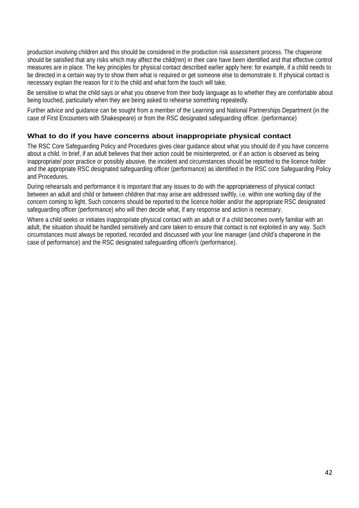production involving children and this should be considered in the production risk assessment process. The chaperone should be satisfied that any risks which may affect the child(ren) in their care have been identified and that effective control measures are in place. The key principles for physical contact described earlier apply here: for example, if a child needs to be directed in a certain way try to show them what is required or get someone else to demonstrate it. If physical contact is necessary explain the reason for it to the child and what form the touch will take.

Be sensitive to what the child says or what you observe from their body language as to whether they are comfortable about being touched, particularly when they are being asked to rehearse something repeatedly.

Further advice and guidance can be sought from a member of the Learning and National Partnerships Department (in the case of First Encounters with Shakespeare) or from the RSC designated safeguarding officer. (performance)

## **What to do if you have concerns about inappropriate physical contact**

The RSC Core Safeguarding Policy and Procedures gives clear guidance about what you should do if you have concerns about a child. In brief, if an adult believes that their action could be misinterpreted, or if an action is observed as being inappropriate/ poor practice or possibly abusive, the incident and circumstances should be reported to the licence holder and the appropriate RSC designated safeguarding officer (performance) as identified in the RSC core Safeguarding Policy and Procedures.

During rehearsals and performance it is important that any issues to do with the appropriateness of physical contact between an adult and child or between children that may arise are addressed swiftly, i.e. within one working day of the concern coming to light. Such concerns should be reported to the licence holder and/or the appropriate RSC designated safeguarding officer (performance) who will then decide what, if any response and action is necessary.

Where a child seeks or initiates inappropriate physical contact with an adult or if a child becomes overly familiar with an adult, the situation should be handled sensitively and care taken to ensure that contact is not exploited in any way. Such circumstances must always be reported, recorded and discussed with your line manager (and child's chaperone in the case of performance) and the RSC designated safeguarding officer/s (performance).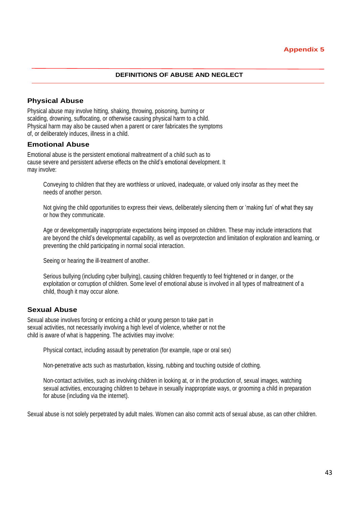#### **DEFINITIONS OF ABUSE AND NEGLECT**

### **Physical Abuse**

Physical abuse may involve hitting, shaking, throwing, poisoning, burning or scalding, drowning, suffocating, or otherwise causing physical harm to a child. Physical harm may also be caused when a parent or carer fabricates the symptoms of, or deliberately induces, illness in a child.

#### **Emotional Abuse**

Emotional abuse is the persistent emotional maltreatment of a child such as to cause severe and persistent adverse effects on the child's emotional development. It may involve:

Conveying to children that they are worthless or unloved, inadequate, or valued only insofar as they meet the needs of another person.

Not giving the child opportunities to express their views, deliberately silencing them or 'making fun' of what they say or how they communicate.

Age or developmentally inappropriate expectations being imposed on children. These may include interactions that are beyond the child's developmental capability, as well as overprotection and limitation of exploration and learning, or preventing the child participating in normal social interaction.

Seeing or hearing the ill-treatment of another.

Serious bullying (including cyber bullying), causing children frequently to feel frightened or in danger, or the exploitation or corruption of children. Some level of emotional abuse is involved in all types of maltreatment of a child, though it may occur alone.

#### **Sexual Abuse**

Sexual abuse involves forcing or enticing a child or young person to take part in sexual activities, not necessarily involving a high level of violence, whether or not the child is aware of what is happening. The activities may involve:

Physical contact, including assault by penetration (for example, rape or oral sex)

Non-penetrative acts such as masturbation, kissing, rubbing and touching outside of clothing.

Non-contact activities, such as involving children in looking at, or in the production of, sexual images, watching sexual activities, encouraging children to behave in sexually inappropriate ways, or grooming a child in preparation for abuse (including via the internet).

Sexual abuse is not solely perpetrated by adult males. Women can also commit acts of sexual abuse, as can other children.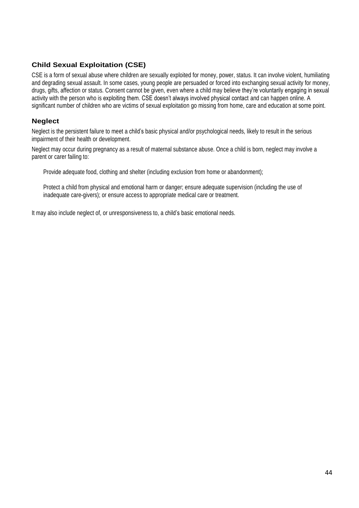# **Child Sexual Exploitation (CSE)**

CSE is a form of sexual abuse where children are sexually exploited for money, power, status. It can involve violent, humiliating and degrading sexual assault. In some cases, young people are persuaded or forced into exchanging sexual activity for money, drugs, gifts, affection or status. Consent cannot be given, even where a child may believe they're voluntarily engaging in sexual activity with the person who is exploiting them. CSE doesn't always involved physical contact and can happen online. A significant number of children who are victims of sexual exploitation go missing from home, care and education at some point.

## **Neglect**

Neglect is the persistent failure to meet a child's basic physical and/or psychological needs, likely to result in the serious impairment of their health or development.

Neglect may occur during pregnancy as a result of maternal substance abuse. Once a child is born, neglect may involve a parent or carer failing to:

Provide adequate food, clothing and shelter (including exclusion from home or abandonment);

Protect a child from physical and emotional harm or danger; ensure adequate supervision (including the use of inadequate care-givers); or ensure access to appropriate medical care or treatment.

It may also include neglect of, or unresponsiveness to, a child's basic emotional needs.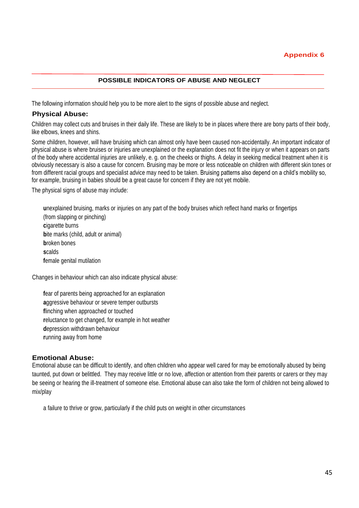#### **POSSIBLE INDICATORS OF ABUSE AND NEGLECT**

The following information should help you to be more alert to the signs of possible abuse and neglect.

#### **Physical Abuse:**

Children may collect cuts and bruises in their daily life. These are likely to be in places where there are bony parts of their body, like elbows, knees and shins.

Some children, however, will have bruising which can almost only have been caused non-accidentally. An important indicator of physical abuse is where bruises or injuries are unexplained or the explanation does not fit the injury or when it appears on parts of the body where accidental injuries are unlikely, e. g. on the cheeks or thighs. A delay in seeking medical treatment when it is obviously necessary is also a cause for concern. Bruising may be more or less noticeable on children with different skin tones or from different racial groups and specialist advice may need to be taken. Bruising patterns also depend on a child's mobility so, for example, bruising in babies should be a great cause for concern if they are not yet mobile.

The physical signs of abuse may include:

**u**nexplained bruising, marks or injuries on any part of the body bruises which reflect hand marks or fingertips (from slapping or pinching) **c**igarette burns **bite marks (child, adult or animal) b**roken bones **s**calds **f**emale genital mutilation

Changes in behaviour which can also indicate physical abuse:

**f**ear of parents being approached for an explanation **a**ggressive behaviour or severe temper outbursts **f**linching when approached or touched **r**eluctance to get changed, for example in hot weather **d**epression withdrawn behaviour **r**unning away from home

#### **Emotional Abuse:**

Emotional abuse can be difficult to identify, and often children who appear well cared for may be emotionally abused by being taunted, put down or belittled. They may receive little or no love, affection or attention from their parents or carers or they may be seeing or hearing the ill-treatment of someone else. Emotional abuse can also take the form of children not being allowed to mix/play

a failure to thrive or grow, particularly if the child puts on weight in other circumstances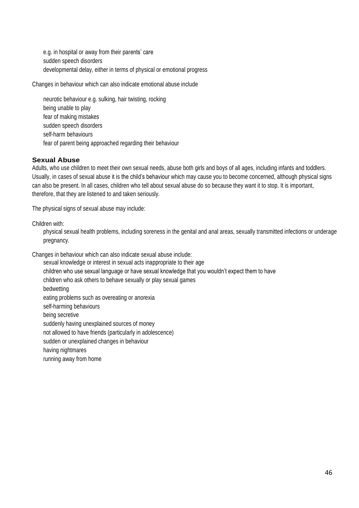e.g. in hospital or away from their parents' care sudden speech disorders developmental delay, either in terms of physical or emotional progress

Changes in behaviour which can also indicate emotional abuse include

neurotic behaviour e.g. sulking, hair twisting, rocking being unable to play fear of making mistakes sudden speech disorders self-harm behaviours fear of parent being approached regarding their behaviour

#### **Sexual Abuse**

Adults, who use children to meet their own sexual needs, abuse both girls and boys of all ages, including infants and toddlers. Usually, in cases of sexual abuse it is the child's behaviour which may cause you to become concerned, although physical signs can also be present. In all cases, children who tell about sexual abuse do so because they want it to stop. It is important, therefore, that they are listened to and taken seriously.

The physical signs of sexual abuse may include:

Children with:

physical sexual health problems, including soreness in the genital and anal areas, sexually transmitted infections or underage pregnancy.

Changes in behaviour which can also indicate sexual abuse include:

sexual knowledge or interest in sexual acts inappropriate to their age

children who use sexual language or have sexual knowledge that you wouldn't expect them to have

children who ask others to behave sexually or play sexual games

bedwetting

eating problems such as overeating or anorexia

self-harming behaviours

being secretive

suddenly having unexplained sources of money

not allowed to have friends (particularly in adolescence)

sudden or unexplained changes in behaviour

having nightmares

running away from home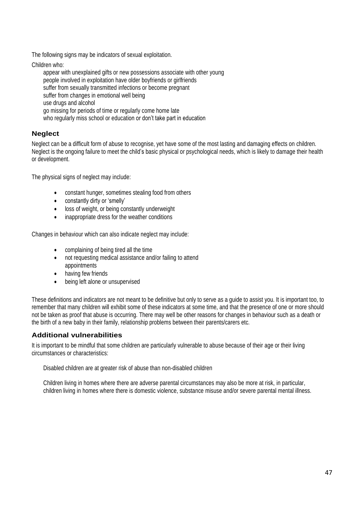The following signs may be indicators of sexual exploitation.

Children who:

appear with unexplained gifts or new possessions associate with other young people involved in exploitation have older boyfriends or girlfriends suffer from sexually transmitted infections or become pregnant suffer from changes in emotional well being use drugs and alcohol go missing for periods of time or regularly come home late who regularly miss school or education or don't take part in education

## **Neglect**

Neglect can be a difficult form of abuse to recognise, yet have some of the most lasting and damaging effects on children. Neglect is the ongoing failure to meet the child's basic physical or psychological needs, which is likely to damage their health or development.

The physical signs of neglect may include:

- constant hunger, sometimes stealing food from others
- constantly dirty or 'smelly'
- loss of weight, or being constantly underweight
- inappropriate dress for the weather conditions

Changes in behaviour which can also indicate neglect may include:

- complaining of being tired all the time
- not requesting medical assistance and/or failing to attend appointments
- having few friends
- being left alone or unsupervised

These definitions and indicators are not meant to be definitive but only to serve as a guide to assist you. It is important too, to remember that many children will exhibit some of these indicators at some time, and that the presence of one or more should not be taken as proof that abuse is occurring. There may well be other reasons for changes in behaviour such as a death or the birth of a new baby in their family, relationship problems between their parents/carers etc.

## **Additional vulnerabilities**

It is important to be mindful that some children are particularly vulnerable to abuse because of their age or their living circumstances or characteristics:

Disabled children are at greater risk of abuse than non-disabled children

Children living in homes where there are adverse parental circumstances may also be more at risk, in particular, children living in homes where there is domestic violence, substance misuse and/or severe parental mental illness.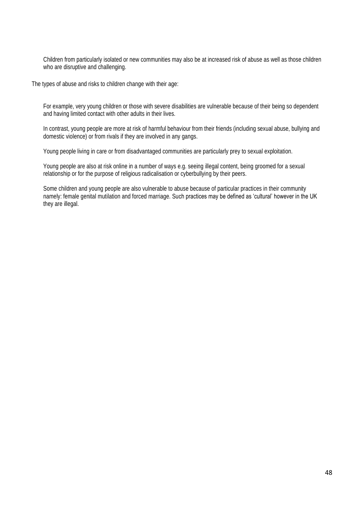Children from particularly isolated or new communities may also be at increased risk of abuse as well as those children who are disruptive and challenging.

The types of abuse and risks to children change with their age:

For example, very young children or those with severe disabilities are vulnerable because of their being so dependent and having limited contact with other adults in their lives.

In contrast, young people are more at risk of harmful behaviour from their friends (including sexual abuse, bullying and domestic violence) or from rivals if they are involved in any gangs.

Young people living in care or from disadvantaged communities are particularly prey to sexual exploitation.

Young people are also at risk online in a number of ways e.g. seeing illegal content, being groomed for a sexual relationship or for the purpose of religious radicalisation or cyberbullying by their peers.

Some children and young people are also vulnerable to abuse because of particular practices in their community namely: female genital mutilation and forced marriage. Such practices may be defined as 'cultural' however in the UK they are illegal.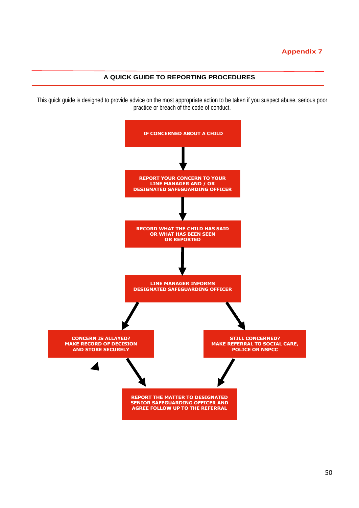#### **A QUICK GUIDE TO REPORTING PROCEDURES**

This quick guide is designed to provide advice on the most appropriate action to be taken if you suspect abuse, serious poor practice or breach of the code of conduct.

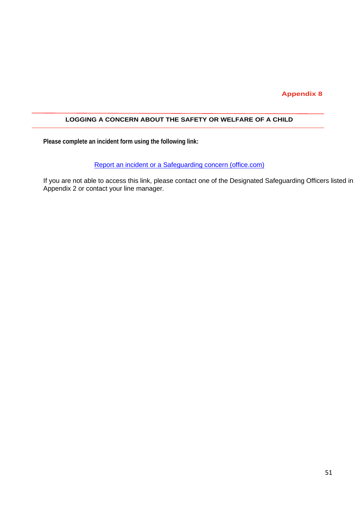#### **LOGGING A CONCERN ABOUT THE SAFETY OR WELFARE OF A CHILD**

**Please complete an incident form using the following link:**

Report an incident or a [Safeguarding concern \(office.com\)](https://forms.office.com/pages/responsepage.aspx?id=BKg4is0CakWSFxKW7Yx5yKpcS5XY0sJMgeVEcequ0HxUQkEyOFVJMlFCTks2NERUSEJDODlVMzdCNS4u&web=1&wdLOR=c289DFFD5-97F0-48E5-A914-1D51363C6F95)

If you are not able to access this link, please contact one of the Designated Safeguarding Officers listed in Appendix 2 or contact your line manager.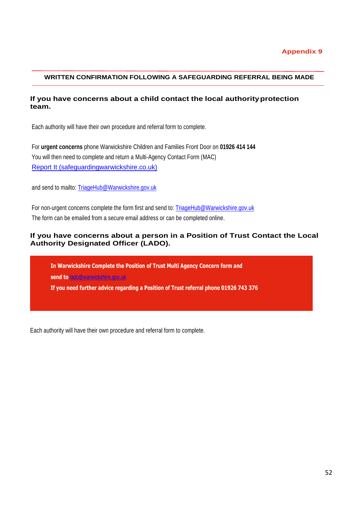#### **WRITTEN CONFIRMATION FOLLOWING A SAFEGUARDING REFERRAL BEING MADE**

#### **If you have concerns about a child contact the local authorityprotection team.**

Each authority will have their own procedure and referral form to complete.

For **urgent concerns** phone Warwickshire Children and Families Front Door on **01926 414 144** You will then need to complete and return a Multi-Agency Contact Form (MAC) [Report It \(safeguardingwarwickshire.co.uk\)](https://www.safeguardingwarwickshire.co.uk/report-it)

and send to mailto: [TriageHub@Warwickshire.gov.uk](mailto:TriageHub@Warwickshire.gov.uk)

For non-urgent concerns complete the form first and send to: [TriageHub@Warwickshire.gov.uk](mailto:TriageHub@Warwickshire.gov.uk) The form can be emailed from a secure email address or can be completed online.

#### **If you have concerns about a person in a Position of Trust Contact the Local Authority Designated Officer (LADO).**

**In Warwickshire Complete the Position of Trust Multi Agency Concern form and send to** [lado@warwickshire.gov.uk](mailto:lado@warwickshire.gov.uk)

**If you need further advice regarding a Position of Trust referral phone 01926 743 376**

Each authority will have their own procedure and referral form to complete.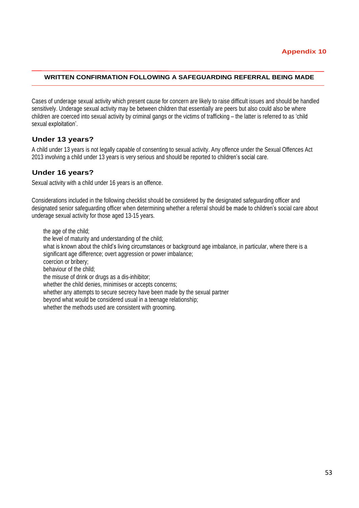#### **WRITTEN CONFIRMATION FOLLOWING A SAFEGUARDING REFERRAL BEING MADE**

Cases of underage sexual activity which present cause for concern are likely to raise difficult issues and should be handled sensitively. Underage sexual activity may be between children that essentially are peers but also could also be where children are coerced into sexual activity by criminal gangs or the victims of trafficking – the latter is referred to as 'child sexual exploitation'.

#### **Under 13 years?**

A child under 13 years is not legally capable of consenting to sexual activity. Any offence under the Sexual Offences Act 2013 involving a child under 13 years is very serious and should be reported to children's social care.

#### **Under 16 years?**

Sexual activity with a child under 16 years is an offence.

Considerations included in the following checklist should be considered by the designated safeguarding officer and designated senior safeguarding officer when determining whether a referral should be made to children's social care about underage sexual activity for those aged 13-15 years.

the age of the child; the level of maturity and understanding of the child; what is known about the child's living circumstances or background age imbalance, in particular, where there is a significant age difference; overt aggression or power imbalance; coercion or bribery; behaviour of the child; the misuse of drink or drugs as a dis-inhibitor; whether the child denies, minimises or accepts concerns; whether any attempts to secure secrecy have been made by the sexual partner beyond what would be considered usual in a teenage relationship; whether the methods used are consistent with grooming.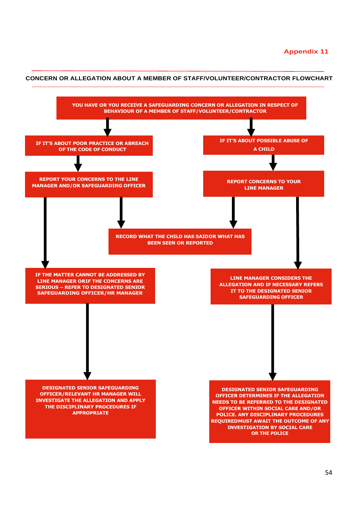

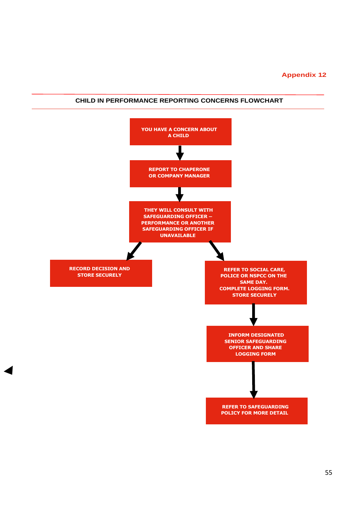

 $\blacktriangleleft$ 

#### **CHILD IN PERFORMANCE REPORTING CONCERNS FLOWCHART**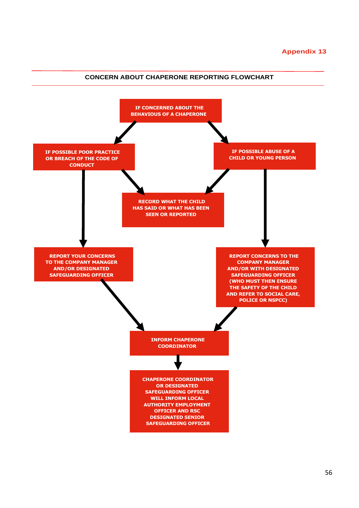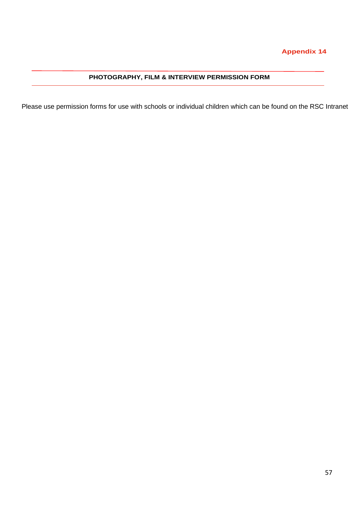## **PHOTOGRAPHY, FILM & INTERVIEW PERMISSION FORM**

Please use permission forms for use with schools or individual children which can be found on the RSC Intranet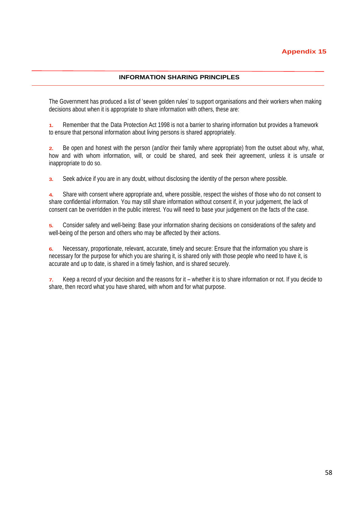#### **INFORMATION SHARING PRINCIPLES**

The Government has produced a list of 'seven golden rules' to support organisations and their workers when making decisions about when it is appropriate to share information with others, these are:

**1.** Remember that the Data Protection Act 1998 is not a barrier to sharing information but provides a framework to ensure that personal information about living persons is shared appropriately.

**2.** Be open and honest with the person (and/or their family where appropriate) from the outset about why, what, how and with whom information, will, or could be shared, and seek their agreement, unless it is unsafe or inappropriate to do so.

**3.** Seek advice if you are in any doubt, without disclosing the identity of the person where possible.

**4.** Share with consent where appropriate and, where possible, respect the wishes of those who do not consent to share confidential information. You may still share information without consent if, in your judgement, the lack of consent can be overridden in the public interest. You will need to base your judgement on the facts of the case.

**5.** Consider safety and well-being: Base your information sharing decisions on considerations of the safety and well-being of the person and others who may be affected by their actions.

**6.** Necessary, proportionate, relevant, accurate, timely and secure: Ensure that the information you share is necessary for the purpose for which you are sharing it, is shared only with those people who need to have it, is accurate and up to date, is shared in a timely fashion, and is shared securely.

**7.** Keep a record of your decision and the reasons for it – whether it is to share information or not. If you decide to share, then record what you have shared, with whom and for what purpose.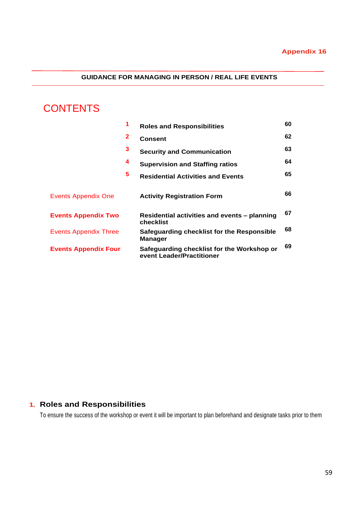## **GUIDANCE FOR MANAGING IN PERSON / REAL LIFE EVENTS**

# **CONTENTS**

|                              | 1            | <b>Roles and Responsibilities</b>                                       | 60 |
|------------------------------|--------------|-------------------------------------------------------------------------|----|
|                              | $\mathbf{2}$ | <b>Consent</b>                                                          | 62 |
|                              | 3            | <b>Security and Communication</b>                                       | 63 |
|                              | 4            | <b>Supervision and Staffing ratios</b>                                  | 64 |
|                              | 5            | <b>Residential Activities and Events</b>                                | 65 |
| Events Appendix One          |              | <b>Activity Registration Form</b>                                       | 66 |
| <b>Events Appendix Two</b>   |              | Residential activities and events - planning<br>checklist               | 67 |
| <b>Events Appendix Three</b> |              | Safeguarding checklist for the Responsible<br><b>Manager</b>            | 68 |
| <b>Events Appendix Four</b>  |              | Safeguarding checklist for the Workshop or<br>event Leader/Practitioner | 69 |

# **1. Roles and Responsibilities**

To ensure the success of the workshop or event it will be important to plan beforehand and designate tasks prior to them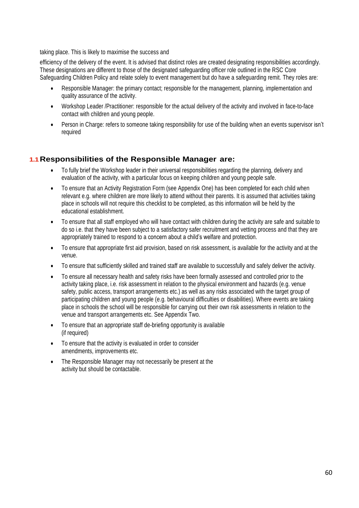taking place. This is likely to maximise the success and

efficiency of the delivery of the event. It is advised that distinct roles are created designating responsibilities accordingly. These designations are different to those of the designated safeguarding officer role outlined in the RSC Core Safeguarding Children Policy and relate solely to event management but do have a safeguarding remit. They roles are:

- Responsible Manager: the primary contact; responsible for the management, planning, implementation and quality assurance of the activity.
- Workshop Leader /Practitioner: responsible for the actual delivery of the activity and involved in face-to-face contact with children and young people.
- Person in Charge: refers to someone taking responsibility for use of the building when an events supervisor isn't required

## **1.1Responsibilities of the Responsible Manager are:**

- To fully brief the Workshop leader in their universal responsibilities regarding the planning, delivery and evaluation of the activity, with a particular focus on keeping children and young people safe.
- To ensure that an Activity Registration Form (see Appendix One) has been completed for each child when relevant e.g. where children are more likely to attend without their parents. It is assumed that activities taking place in schools will not require this checklist to be completed, as this information will be held by the educational establishment.
- To ensure that all staff employed who will have contact with children during the activity are safe and suitable to do so i.e. that they have been subject to a satisfactory safer recruitment and vetting process and that they are appropriately trained to respond to a concern about a child's welfare and protection.
- To ensure that appropriate first aid provision, based on risk assessment, is available for the activity and at the venue.
- To ensure that sufficiently skilled and trained staff are available to successfully and safely deliver the activity.
- To ensure all necessary health and safety risks have been formally assessed and controlled prior to the activity taking place, i.e. risk assessment in relation to the physical environment and hazards (e.g. venue safety, public access, transport arrangements etc.) as well as any risks associated with the target group of participating children and young people (e.g. behavioural difficulties or disabilities). Where events are taking place in schools the school will be responsible for carrying out their own risk assessments in relation to the venue and transport arrangements etc. See Appendix Two.
- To ensure that an appropriate staff de-briefing opportunity is available (if required)
- To ensure that the activity is evaluated in order to consider amendments, improvements etc.
- The Responsible Manager may not necessarily be present at the activity but should be contactable.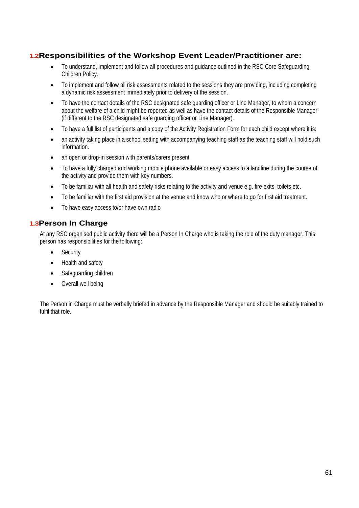# **1.2Responsibilities of the Workshop Event Leader/Practitioner are:**

- To understand, implement and follow all procedures and guidance outlined in the RSC Core Safeguarding Children Policy.
- To implement and follow all risk assessments related to the sessions they are providing, including completing a dynamic risk assessment immediately prior to delivery of the session.
- To have the contact details of the RSC designated safe guarding officer or Line Manager, to whom a concern about the welfare of a child might be reported as well as have the contact details of the Responsible Manager (if different to the RSC designated safe guarding officer or Line Manager).
- To have a full list of participants and a copy of the Activity Registration Form for each child except where it is:
- an activity taking place in a school setting with accompanying teaching staff as the teaching staff will hold such information.
- an open or drop-in session with parents/carers present
- To have a fully charged and working mobile phone available or easy access to a landline during the course of the activity and provide them with key numbers.
- To be familiar with all health and safety risks relating to the activity and venue e.g. fire exits, toilets etc.
- To be familiar with the first aid provision at the venue and know who or where to go for first aid treatment.
- To have easy access to/or have own radio

## **1.3Person In Charge**

At any RSC organised public activity there will be a Person In Charge who is taking the role of the duty manager. This person has responsibilities for the following:

- **Security**
- Health and safety
- Safeguarding children
- Overall well being

The Person in Charge must be verbally briefed in advance by the Responsible Manager and should be suitably trained to fulfil that role.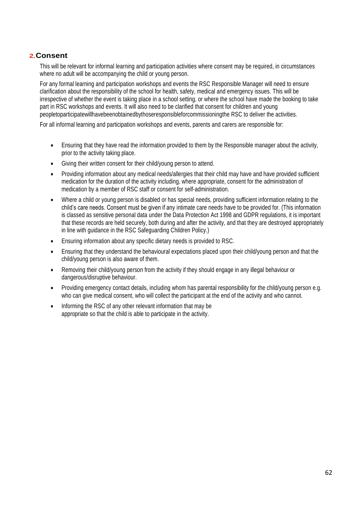#### **2.Consent**

This will be relevant for informal learning and participation activities where consent may be required, in circumstances where no adult will be accompanying the child or young person.

For any formal learning and participation workshops and events the RSC Responsible Manager will need to ensure clarification about the responsibility of the school for health, safety, medical and emergency issues. This will be irrespective of whether the event is taking place in a school setting, or where the school have made the booking to take part in RSC workshops and events. It will also need to be clarified that consent for children and young peopletoparticipatewillhavebeenobtainedbythoseresponsibleforcommissioningthe RSC to deliver the activities.

For all informal learning and participation workshops and events, parents and carers are responsible for:

- Ensuring that they have read the information provided to them by the Responsible manager about the activity, prior to the activity taking place.
- Giving their written consent for their child/young person to attend.
- Providing information about any medical needs/allergies that their child may have and have provided sufficient medication for the duration of the activity including, where appropriate, consent for the administration of medication by a member of RSC staff or consent for self-administration.
- Where a child or young person is disabled or has special needs, providing sufficient information relating to the child's care needs. Consent must be given if any intimate care needs have to be provided for. (This information is classed as sensitive personal data under the Data Protection Act 1998 and GDPR regulations, it is important that these records are held securely, both during and after the activity, and that they are destroyed appropriately in line with guidance in the RSC Safeguarding Children Policy.)
- Ensuring information about any specific dietary needs is provided to RSC.
- Ensuring that they understand the behavioural expectations placed upon their child/young person and that the child/young person is also aware of them.
- Removing their child/young person from the activity if they should engage in any illegal behaviour or dangerous/disruptive behaviour.
- Providing emergency contact details, including whom has parental responsibility for the child/young person e.g. who can give medical consent, who will collect the participant at the end of the activity and who cannot.
- Informing the RSC of any other relevant information that may be appropriate so that the child is able to participate in the activity.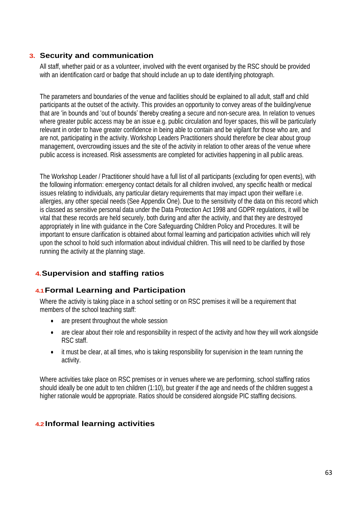## **3. Security and communication**

All staff, whether paid or as a volunteer, involved with the event organised by the RSC should be provided with an identification card or badge that should include an up to date identifying photograph.

The parameters and boundaries of the venue and facilities should be explained to all adult, staff and child participants at the outset of the activity. This provides an opportunity to convey areas of the building/venue that are 'in bounds and 'out of bounds' thereby creating a secure and non-secure area. In relation to venues where greater public access may be an issue e.g. public circulation and foyer spaces, this will be particularly relevant in order to have greater confidence in being able to contain and be vigilant for those who are, and are not, participating in the activity. Workshop Leaders Practitioners should therefore be clear about group management, overcrowding issues and the site of the activity in relation to other areas of the venue where public access is increased. Risk assessments are completed for activities happening in all public areas.

The Workshop Leader / Practitioner should have a full list of all participants (excluding for open events), with the following information: emergency contact details for all children involved, any specific health or medical issues relating to individuals, any particular dietary requirements that may impact upon their welfare i.e. allergies, any other special needs (See Appendix One). Due to the sensitivity of the data on this record which is classed as sensitive personal data under the Data Protection Act 1998 and GDPR regulations, it will be vital that these records are held securely, both during and after the activity, and that they are destroyed appropriately in line with guidance in the Core Safeguarding Children Policy and Procedures. It will be important to ensure clarification is obtained about formal learning and participation activities which will rely upon the school to hold such information about individual children. This will need to be clarified by those running the activity at the planning stage.

# **4.Supervision and staffing ratios**

## **4.1Formal Learning and Participation**

Where the activity is taking place in a school setting or on RSC premises it will be a requirement that members of the school teaching staff:

- are present throughout the whole session
- are clear about their role and responsibility in respect of the activity and how they will work alongside RSC staff.
- it must be clear, at all times, who is taking responsibility for supervision in the team running the activity.

Where activities take place on RSC premises or in venues where we are performing, school staffing ratios should ideally be one adult to ten children (1:10), but greater if the age and needs of the children suggest a higher rationale would be appropriate. Ratios should be considered alongside PIC staffing decisions.

## **4.2 Informal learning activities**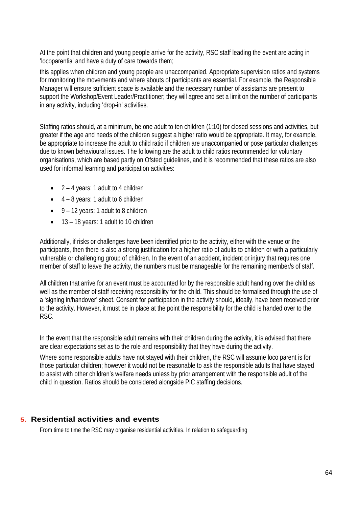At the point that children and young people arrive for the activity, RSC staff leading the event are acting in 'locoparentis' and have a duty of care towards them;

this applies when children and young people are unaccompanied. Appropriate supervision ratios and systems for monitoring the movements and where abouts of participants are essential. For example, the Responsible Manager will ensure sufficient space is available and the necessary number of assistants are present to support the Workshop/Event Leader/Practitioner; they will agree and set a limit on the number of participants in any activity, including 'drop-in' activities.

Staffing ratios should, at a minimum, be one adult to ten children (1:10) for closed sessions and activities, but greater if the age and needs of the children suggest a higher ratio would be appropriate. It may, for example, be appropriate to increase the adult to child ratio if children are unaccompanied or pose particular challenges due to known behavioural issues. The following are the adult to child ratios recommended for voluntary organisations, which are based partly on Ofsted guidelines, and it is recommended that these ratios are also used for informal learning and participation activities:

- $2 4$  years: 1 adult to 4 children
- $\bullet$  4 8 years: 1 adult to 6 children
- $\bullet$  9 12 years: 1 adult to 8 children
- 13 18 years: 1 adult to 10 children

Additionally, if risks or challenges have been identified prior to the activity, either with the venue or the participants, then there is also a strong justification for a higher ratio of adults to children or with a particularly vulnerable or challenging group of children. In the event of an accident, incident or injury that requires one member of staff to leave the activity, the numbers must be manageable for the remaining member/s of staff.

All children that arrive for an event must be accounted for by the responsible adult handing over the child as well as the member of staff receiving responsibility for the child. This should be formalised through the use of a 'signing in/handover' sheet. Consent for participation in the activity should, ideally, have been received prior to the activity. However, it must be in place at the point the responsibility for the child is handed over to the RSC.

In the event that the responsible adult remains with their children during the activity, it is advised that there are clear expectations set as to the role and responsibility that they have during the activity.

Where some responsible adults have not stayed with their children, the RSC will assume loco parent is for those particular children; however it would not be reasonable to ask the responsible adults that have stayed to assist with other children's welfare needs unless by prior arrangement with the responsible adult of the child in question. Ratios should be considered alongside PIC staffing decisions.

## **5. Residential activities and events**

From time to time the RSC may organise residential activities. In relation to safeguarding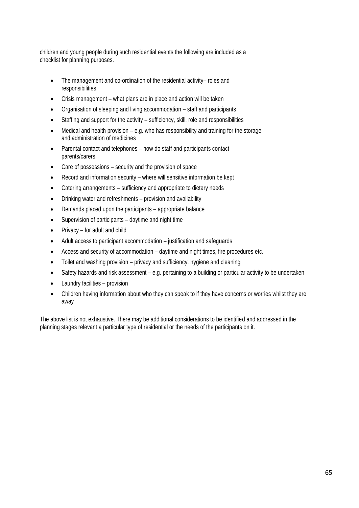children and young people during such residential events the following are included as a checklist for planning purposes.

- The management and co-ordination of the residential activity– roles and responsibilities
- Crisis management what plans are in place and action will be taken
- Organisation of sleeping and living accommodation staff and participants
- Staffing and support for the activity sufficiency, skill, role and responsibilities
- Medical and health provision  $-$  e.g. who has responsibility and training for the storage and administration of medicines
- Parental contact and telephones how do staff and participants contact parents/carers
- Care of possessions security and the provision of space
- Record and information security where will sensitive information be kept
- Catering arrangements sufficiency and appropriate to dietary needs
- Drinking water and refreshments provision and availability
- Demands placed upon the participants appropriate balance
- Supervision of participants daytime and night time
- Privacy for adult and child
- Adult access to participant accommodation justification and safeguards
- Access and security of accommodation daytime and night times, fire procedures etc.
- Toilet and washing provision privacy and sufficiency, hygiene and cleaning
- Safety hazards and risk assessment e.g. pertaining to a building or particular activity to be undertaken
- Laundry facilities provision
- Children having information about who they can speak to if they have concerns or worries whilst they are away

The above list is not exhaustive. There may be additional considerations to be identified and addressed in the planning stages relevant a particular type of residential or the needs of the participants on it.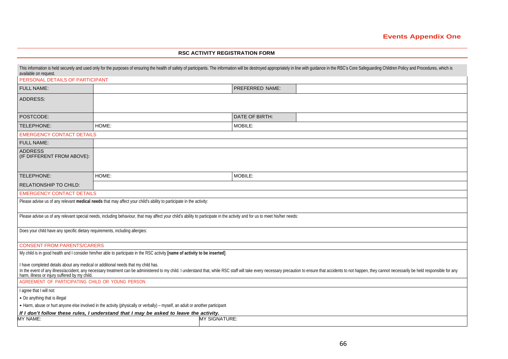#### **RSC ACTIVITY REGISTRATION FORM**

| This information is held securely and used only for the purposes of ensuring the health of safety of participants. The information will be destroyed appropriately in line with guidance in the RSC's Core Safeguarding Childr<br>available on request.                                                             |       |                 |  |  |  |  |
|---------------------------------------------------------------------------------------------------------------------------------------------------------------------------------------------------------------------------------------------------------------------------------------------------------------------|-------|-----------------|--|--|--|--|
| PERSONAL DETAILS OF PARTICIPANT                                                                                                                                                                                                                                                                                     |       |                 |  |  |  |  |
| FULL NAME:                                                                                                                                                                                                                                                                                                          |       | PREFERRED NAME: |  |  |  |  |
| <b>ADDRESS:</b>                                                                                                                                                                                                                                                                                                     |       |                 |  |  |  |  |
| POSTCODE:                                                                                                                                                                                                                                                                                                           |       | DATE OF BIRTH:  |  |  |  |  |
| TELEPHONE:                                                                                                                                                                                                                                                                                                          | HOME: | MOBILE:         |  |  |  |  |
| <b>EMERGENCY CONTACT DETAILS</b>                                                                                                                                                                                                                                                                                    |       |                 |  |  |  |  |
| <b>FULL NAME:</b>                                                                                                                                                                                                                                                                                                   |       |                 |  |  |  |  |
| <b>ADDRESS</b><br>(IF DIFFERENT FROM ABOVE):                                                                                                                                                                                                                                                                        |       |                 |  |  |  |  |
| TELEPHONE:                                                                                                                                                                                                                                                                                                          | HOME: | MOBILE:         |  |  |  |  |
| <b>RELATIONSHIP TO CHILD:</b>                                                                                                                                                                                                                                                                                       |       |                 |  |  |  |  |
| <b>EMERGENCY CONTACT DETAILS</b>                                                                                                                                                                                                                                                                                    |       |                 |  |  |  |  |
| Please advise us of any relevant medical needs that may affect your child's ability to participate in the activity:                                                                                                                                                                                                 |       |                 |  |  |  |  |
| Please advise us of any relevant special needs, including behaviour, that may affect your child's ability to participate in the activity and for us to meet his/her needs:                                                                                                                                          |       |                 |  |  |  |  |
| Does your child have any specific dietary requirements, including allergies:                                                                                                                                                                                                                                        |       |                 |  |  |  |  |
| <b>CONSENT FROM PARENTS/CARERS</b>                                                                                                                                                                                                                                                                                  |       |                 |  |  |  |  |
| My child is in good health and I consider him/her able to participate in the RSC activity [name of activity to be inserted]                                                                                                                                                                                         |       |                 |  |  |  |  |
| I have completed details about any medical or additional needs that my child has.<br>In the event of any illness/accident, any necessary treatment can be administered to my child. I understand that, while RSC staff will take every necessary precaution to ensure that accidents to not happen, they cannot nec |       |                 |  |  |  |  |
| AGREEMENT OF PARTICIPATING CHILD OR YOUNG PERSON                                                                                                                                                                                                                                                                    |       |                 |  |  |  |  |
| I agree that I will not:                                                                                                                                                                                                                                                                                            |       |                 |  |  |  |  |
| • Do anything that is illegal                                                                                                                                                                                                                                                                                       |       |                 |  |  |  |  |
| • Harm, abuse or hurt anyone else involved in the activity (physically or verbally) – myself, an adult or another participant                                                                                                                                                                                       |       |                 |  |  |  |  |
| If I don't follow these rules, I understand that I may be asked to leave the activity.<br>MY NAME:<br>MY SIGNATURE:                                                                                                                                                                                                 |       |                 |  |  |  |  |
|                                                                                                                                                                                                                                                                                                                     |       |                 |  |  |  |  |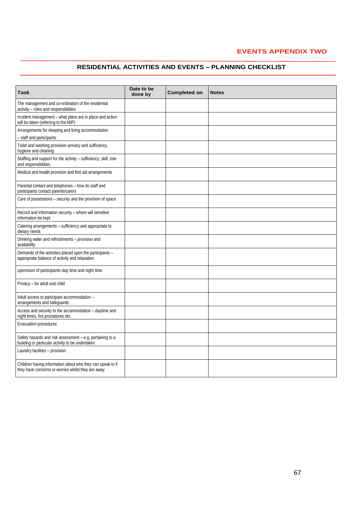#### **EVENTS APPENDIX TWO**

#### **RESIDENTIAL ACTIVITIES AND EVENTS – PLANNING CHECKLIST**

| Task                                                                                                             | Date to be<br>done by | <b>Completed on</b> | <b>Notes</b> |
|------------------------------------------------------------------------------------------------------------------|-----------------------|---------------------|--------------|
| The management and co-ordination of the residential<br>activity - roles and responsibilities                     |                       |                     |              |
| Incident management - what plans are in place and action<br>will be taken (referring to the MIP)                 |                       |                     |              |
| Arrangements for sleeping and living accommodation<br>- staff and participants                                   |                       |                     |              |
| Toilet and washing provision-privacy and sufficiency,<br>hygiene and cleaning                                    |                       |                     |              |
| Staffing and support for the activity - sufficiency, skill, role<br>and responsibilities                         |                       |                     |              |
| Medical and health provision and first aid arrangements                                                          |                       |                     |              |
| Parental contact and telephones - how do staff and<br>participants contact parents/carers                        |                       |                     |              |
| Care of possessions - security and the provision of space                                                        |                       |                     |              |
| Record and information security - where will sensitive<br>information be kept                                    |                       |                     |              |
| Catering arrangements - sufficiency and appropriate to<br>dietary needs                                          |                       |                     |              |
| Drinking water and refreshments - provision and<br>availability                                                  |                       |                     |              |
| Demands of the activities placed upon the participants -<br>appropriate balance of activity and relaxation       |                       |                     |              |
| upervision of participants-day time and night time                                                               |                       |                     |              |
| Privacy - for adult and child                                                                                    |                       |                     |              |
| Adult access to participant accommodation -<br>arrangements and safeguards                                       |                       |                     |              |
| Access and security to the accommodation - daytime and<br>night times, fire procedures etc.                      |                       |                     |              |
| Evacuation procedures                                                                                            |                       |                     |              |
| Safety hazards and risk assessment - e.g. pertaining to a<br>building or particular activity to be undertaken    |                       |                     |              |
| Laundry facilities - provision                                                                                   |                       |                     |              |
| Children having information about who they can speak to if<br>they have concerns or worries whilst they are away |                       |                     |              |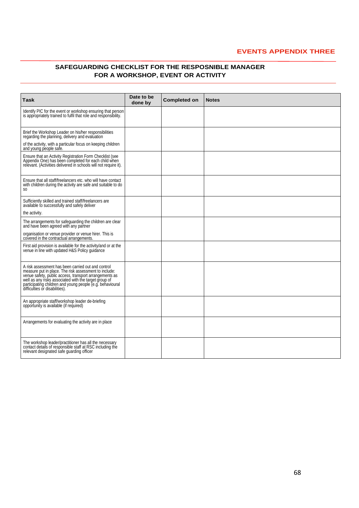#### **EVENTS APPENDIX THREE**

#### **SAFEGUARDING CHECKLIST FOR THE RESPOSNIBLE MANAGER FOR A WORKSHOP, EVENT OR ACTIVITY**

| Task                                                                                                                                                                                                                                                                                                                          | Date to be<br>done by | <b>Completed on</b> | <b>Notes</b> |
|-------------------------------------------------------------------------------------------------------------------------------------------------------------------------------------------------------------------------------------------------------------------------------------------------------------------------------|-----------------------|---------------------|--------------|
| Identify PIC for the event or workshop ensuring that person<br>is appropriately trained to fulfil that role and responsibility.                                                                                                                                                                                               |                       |                     |              |
| Brief the Workshop Leader on his/her responsibilities<br>regarding the planning, delivery and evaluation                                                                                                                                                                                                                      |                       |                     |              |
| of the activity, with a particular focus on keeping children<br>and young people safe.                                                                                                                                                                                                                                        |                       |                     |              |
| Ensure that an Activity Registration Form Checklist (see<br>Appendix One) has been completed for each child when<br>relevant. (Activities delivered in schools will not require it).                                                                                                                                          |                       |                     |              |
| Ensure that all staff/freelancers etc. who will have contact<br>with children during the activity are safe and suitable to do<br>SO.                                                                                                                                                                                          |                       |                     |              |
| Sufficiently skilled and trained staff/freelancers are<br>available to successfully and safely deliver                                                                                                                                                                                                                        |                       |                     |              |
| the activity.                                                                                                                                                                                                                                                                                                                 |                       |                     |              |
| The arrangements for safeguarding the children are clear<br>and have been agreed with any partner                                                                                                                                                                                                                             |                       |                     |              |
| organisation or venue provider or venue hirer. This is<br>covered in the contractual arrangements.                                                                                                                                                                                                                            |                       |                     |              |
| First aid provision is available for the activity/and or at the<br>venue in line with updated H&S Policy guidance                                                                                                                                                                                                             |                       |                     |              |
| A risk assessment has been carried out and control<br>measure put in place. The risk assessment to include:<br>venue safety, public access, transport arrangements as<br>well as any risks associated with the target group of<br>participating children and young people (e.g. behavioural<br>difficulties or disabilities). |                       |                     |              |
| An appropriate staff/workshop leader de-briefing<br>opportunity is available (if required)                                                                                                                                                                                                                                    |                       |                     |              |
| Arrangements for evaluating the activity are in place                                                                                                                                                                                                                                                                         |                       |                     |              |
| The workshop leader/practitioner has all the necessary<br>contact details of responsible staff at RSC including the<br>relevant designated safe guarding officer                                                                                                                                                              |                       |                     |              |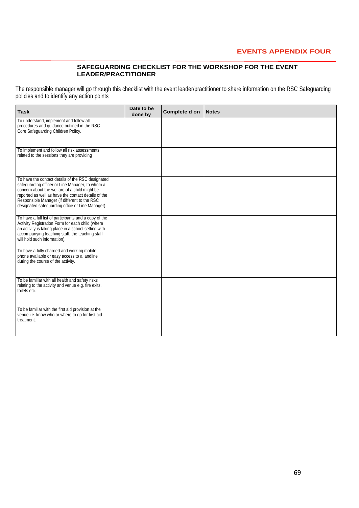#### **EVENTS APPENDIX FOUR**

#### **SAFEGUARDING CHECKLIST FOR THE WORKSHOP FOR THE EVENT LEADER/PRACTITIONER**

The responsible manager will go through this checklist with the event leader/practitioner to share information on the RSC Safeguarding policies and to identify any action points

| <b>Task</b>                                                                                                                                                                                                                                                                                                      | Date to be<br>done by | Complete d on | <b>Notes</b> |
|------------------------------------------------------------------------------------------------------------------------------------------------------------------------------------------------------------------------------------------------------------------------------------------------------------------|-----------------------|---------------|--------------|
| To understand, implement and follow all<br>procedures and guidance outlined in the RSC<br>Core Safeguarding Children Policy.                                                                                                                                                                                     |                       |               |              |
| To implement and follow all risk assessments<br>related to the sessions they are providing                                                                                                                                                                                                                       |                       |               |              |
| To have the contact details of the RSC designated<br>safeguarding officer or Line Manager, to whom a<br>concern about the welfare of a child might be<br>reported as well as have the contact details of the<br>Responsible Manager (if different to the RSC<br>designated safeguarding office or Line Manager). |                       |               |              |
| To have a full list of participants and a copy of the<br>Activity Registration Form for each child (where<br>an activity is taking place in a school setting with<br>accompanying teaching staff, the teaching staff<br>will hold such information).                                                             |                       |               |              |
| To have a fully charged and working mobile<br>phone available or easy access to a landline<br>during the course of the activity.                                                                                                                                                                                 |                       |               |              |
| To be familiar with all health and safety risks<br>relating to the activity and venue e.g. fire exits,<br>toilets etc.                                                                                                                                                                                           |                       |               |              |
| To be familiar with the first aid provision at the<br>venue i.e. know who or where to go for first aid<br>treatment.                                                                                                                                                                                             |                       |               |              |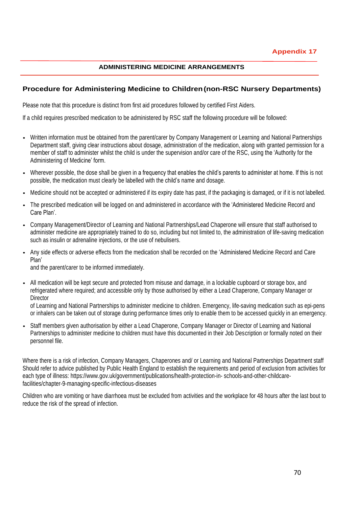#### **ADMINISTERING MEDICINE ARRANGEMENTS**

#### **Procedure for Administering Medicine to Children(non-RSC Nursery Departments)**

Please note that this procedure is distinct from first aid procedures followed by certified First Aiders.

If a child requires prescribed medication to be administered by RSC staff the following procedure will be followed:

- Written information must be obtained from the parent/carer by Company Management or Learning and National Partnerships Department staff, giving clear instructions about dosage, administration of the medication, along with granted permission for a member of staff to administer whilst the child is under the supervision and/or care of the RSC, using the 'Authority for the Administering of Medicine' form.
- Wherever possible, the dose shall be given in a frequency that enables the child's parents to administer at home. If this is not possible, the medication must clearly be labelled with the child's name and dosage.
- Medicine should not be accepted or administered if its expiry date has past, if the packaging is damaged, or if it is not labelled.
- The prescribed medication will be logged on and administered in accordance with the 'Administered Medicine Record and Care Plan'.
- Company Management/Director of Learning and National Partnerships/Lead Chaperone will ensure that staff authorised to administer medicine are appropriately trained to do so, including but not limited to, the administration of life-saving medication such as insulin or adrenaline injections, or the use of nebulisers.
- Any side effects or adverse effects from the medication shall be recorded on the 'Administered Medicine Record and Care Plan'

and the parent/carer to be informed immediately.

• All medication will be kept secure and protected from misuse and damage, in a lockable cupboard or storage box, and refrigerated where required; and accessible only by those authorised by either a Lead Chaperone, Company Manager or **Director** 

of Learning and National Partnerships to administer medicine to children. Emergency, life-saving medication such as epi-pens or inhalers can be taken out of storage during performance times only to enable them to be accessed quickly in an emergency.

• Staff members given authorisation by either a Lead Chaperone, Company Manager or Director of Learning and National Partnerships to administer medicine to children must have this documented in their Job Description or formally noted on their personnel file.

Where there is a risk of infection, Company Managers, Chaperones and/ or Learning and National Partnerships Department staff Should refer to advice published by Public Health England to establish the requirements and period of exclusion from activities for each type of illness: [https://www.g](http://www.gov.uk/government/publications/health-protection-in-schools-and-other-childcare-)o[v.uk/government/publications/health-protection-in-](http://www.gov.uk/government/publications/health-protection-in-schools-and-other-childcare-) [schools-and-other-childcare](http://www.gov.uk/government/publications/health-protection-in-schools-and-other-childcare-)facilities/chapter-9-managing-specific-infectious-diseases

Children who are vomiting or have diarrhoea must be excluded from activities and the workplace for 48 hours after the last bout to reduce the risk of the spread of infection.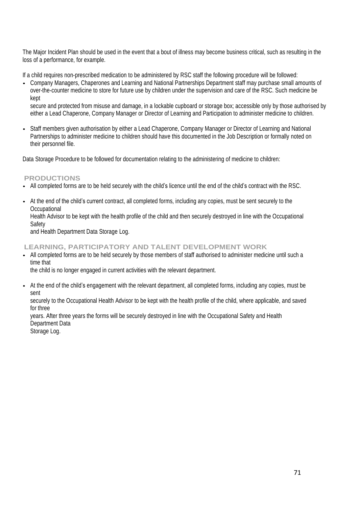The Major Incident Plan should be used in the event that a bout of illness may become business critical, such as resulting in the loss of a performance, for example.

If a child requires non-prescribed medication to be administered by RSC staff the following procedure will be followed:

• Company Managers, Chaperones and Learning and National Partnerships Department staff may purchase small amounts of over-the-counter medicine to store for future use by children under the supervision and care of the RSC. Such medicine be kept

secure and protected from misuse and damage, in a lockable cupboard or storage box; accessible only by those authorised by either a Lead Chaperone, Company Manager or Director of Learning and Participation to administer medicine to children.

• Staff members given authorisation by either a Lead Chaperone, Company Manager or Director of Learning and National Partnerships to administer medicine to children should have this documented in the Job Description or formally noted on their personnel file.

Data Storage Procedure to be followed for documentation relating to the administering of medicine to children:

**PRODUCTIONS**

**Safety** 

- All completed forms are to be held securely with the child's licence until the end of the child's contract with the RSC.
- At the end of the child's current contract, all completed forms, including any copies, must be sent securely to the **Occupational** Health Advisor to be kept with the health profile of the child and then securely destroyed in line with the Occupational

and Health Department Data Storage Log.

**LEARNING, PARTICIPATORY AND TALENT DEVELOPMENT WORK**

• All completed forms are to be held securely by those members of staff authorised to administer medicine until such a time that

the child is no longer engaged in current activities with the relevant department.

• At the end of the child's engagement with the relevant department, all completed forms, including any copies, must be sent

securely to the Occupational Health Advisor to be kept with the health profile of the child, where applicable, and saved for three

years. After three years the forms will be securely destroyed in line with the Occupational Safety and Health Department Data

Storage Log.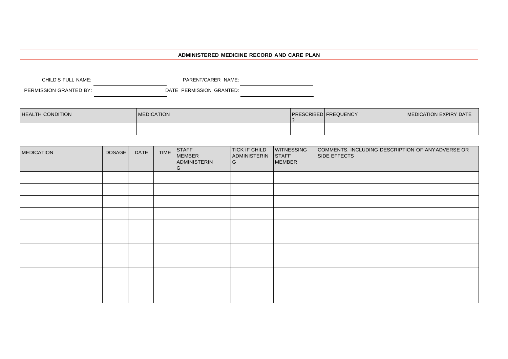#### **ADMINISTERED MEDICINE RECORD AND CARE PLAN**

| CHILD'S FULL NAME:     | PARENT/CARER NAME:       |  |
|------------------------|--------------------------|--|
| PERMISSION GRANTED BY: | DATE PERMISSION GRANTED: |  |

| <b>HEALTH CONDITION</b> | <b>MEDICATION</b> | <b>PRESCRIBED FREQUENCY</b> | MEDICATION EXPIRY DATE |
|-------------------------|-------------------|-----------------------------|------------------------|
|                         |                   |                             |                        |

| <b>MEDICATION</b> | DOSAGE | <b>DATE</b> | <b>TIME</b> | <b>STAFF</b><br><b>MEMBER</b><br>ADMINISTERIN<br>G | <b>TICK IF CHILD</b><br>ADMINISTERIN<br>l G | <b>WITNESSING</b><br><b>STAFF</b><br><b>MEMBER</b> | COMMENTS, INCLUDING DESCRIPTION OF ANYADVERSE OR<br><b>SIDE EFFECTS</b> |
|-------------------|--------|-------------|-------------|----------------------------------------------------|---------------------------------------------|----------------------------------------------------|-------------------------------------------------------------------------|
|                   |        |             |             |                                                    |                                             |                                                    |                                                                         |
|                   |        |             |             |                                                    |                                             |                                                    |                                                                         |
|                   |        |             |             |                                                    |                                             |                                                    |                                                                         |
|                   |        |             |             |                                                    |                                             |                                                    |                                                                         |
|                   |        |             |             |                                                    |                                             |                                                    |                                                                         |
|                   |        |             |             |                                                    |                                             |                                                    |                                                                         |
|                   |        |             |             |                                                    |                                             |                                                    |                                                                         |
|                   |        |             |             |                                                    |                                             |                                                    |                                                                         |
|                   |        |             |             |                                                    |                                             |                                                    |                                                                         |
|                   |        |             |             |                                                    |                                             |                                                    |                                                                         |
|                   |        |             |             |                                                    |                                             |                                                    |                                                                         |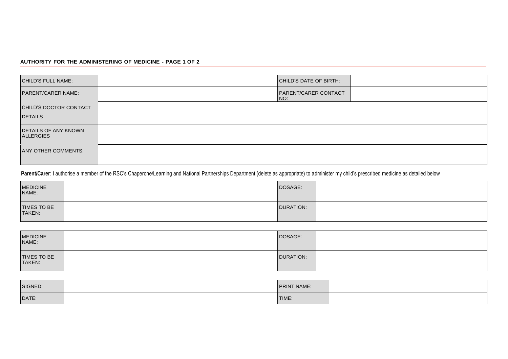## **AUTHORITY FOR THE ADMINISTERING OF MEDICINE - PAGE 1 OF 2**

| <b>CHILD'S FULL NAME:</b>                       | CHILD'S DATE OF BIRTH:             |
|-------------------------------------------------|------------------------------------|
| <b>PARENT/CARER NAME:</b>                       | <b>PARENT/CARER CONTACT</b><br>NO: |
| CHILD'S DOCTOR CONTACT                          |                                    |
| <b>DETAILS</b>                                  |                                    |
| <b>DETAILS OF ANY KNOWN</b><br><b>ALLERGIES</b> |                                    |
| <b>ANY OTHER COMMENTS:</b>                      |                                    |

Parent/Carer: I authorise a member of the RSC's Chaperone/Learning and National Partnerships Department (delete as appropriate) to administer my child's prescribed medicine as detailed below

| MEDICINE<br>NAME:     | DOSAGE:          |  |
|-----------------------|------------------|--|
| TIMES TO BE<br>TAKEN: | <b>DURATION:</b> |  |

| MEDICINE<br>NAME:     | DOSAGE:          |  |
|-----------------------|------------------|--|
| TIMES TO BE<br>TAKEN: | <b>DURATION:</b> |  |

| SIGNED: | PRINT NAME: |  |
|---------|-------------|--|
| DATE:   | TIME:       |  |